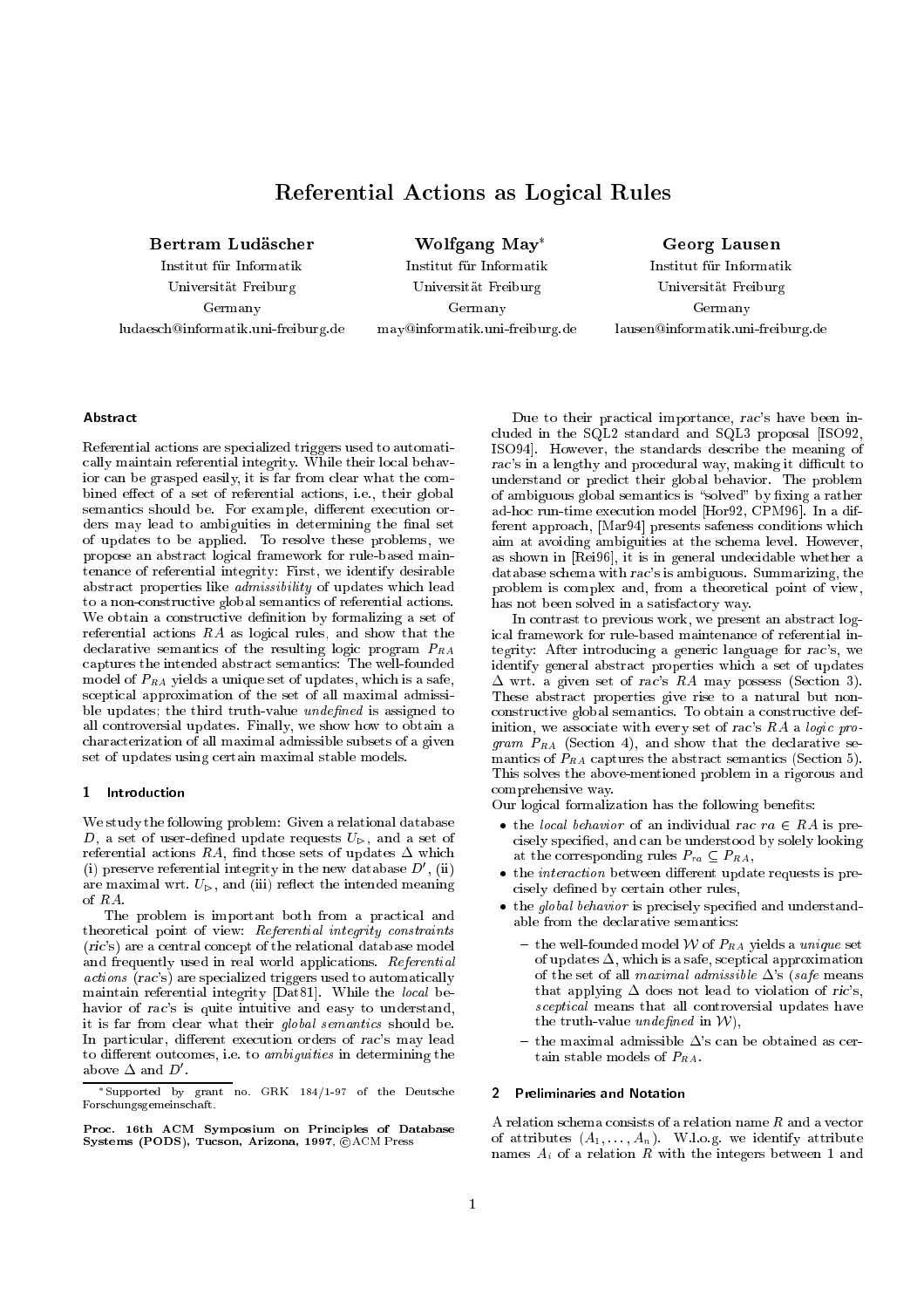# Referential Actions as Logical Rules

Institut fur Informatik Universitat Freiburg Germany ludaesch@informatik.uni-freiburg.de Wolfgang May

Institut fur Informatik Universitat Freiburg Germany may@informatik.uni-freiburg.de

Georg Lausen Institut fur Informatik Universitat Freiburg Germany lausen@informatik.uni-freiburg.de

# Abstract

Referential actions are specialized triggers used to automatically maintain referential integrity. While their local behavior can be grasped easily, it is far from clear what the combined effect of a set of referential actions, i.e., their global semantics should be. For example, different execution orders may lead to ambiguities in determining the final set of updates to be applied. To resolve these problems, we propose an abstract logical framework for rule-based maintenance of referential integrity: First, we identify desirable abstract properties like admissibility of updates which lead to a non-constructive global semantics of referential actions. We obtain a constructive definition by formalizing a set of referential actions RA as logical rules, and show that the declarative semantics of the resulting logic program  $P_{RA}$ captures the intended abstract semantics: The well-founded model of  $P_{RA}$  yields a unique set of updates, which is a safe, sceptical approximation of the set of all maximal admissible updates; the third truth-value *undefined* is assigned to all controversial updates. Finally, we show how to obtain a characterization of all maximal admissible subsets of a given set of updates using certain maximal stable models.

#### 1 Introduction

We study the following problem: Given a relational database D, a set of user-defined update requests  $U_{\triangleright}$ , and a set of referential actions RA, find those sets of updates  $\Delta$  which (i) preserve referential integrity in the new database  $D'$ , (ii) are maximal wrt.  $U_{\triangleright}$ , and (iii) reflect the intended meaning of RA.

The problem is important both from a practical and theoretical point of view: Referential integrity constraints (ric's) are a central concept of the relational database model and frequently used in real world applications. Referential actions (rac's) are specialized triggers used to automatically maintain referential integrity [Dat81]. While the local behavior of rac's is quite intuitive and easy to understand, it is far from clear what their global semantics should be. In particular, different execution orders of rac's may lead to different outcomes, i.e. to *ambiguities* in determining the above  $\Delta$  and  $D'$  .

Due to their practical importance, rac's have been included in the SQL2 standard and SQL3 proposal [ISO92, ISO94]. However, the standards describe the meaning of rac's in a lengthy and procedural way, making it difficult to understand or predict their global behavior. The problem of ambiguous global semantics is "solved" by fixing a rather ad-hoc run-time execution model [Hor92, CPM96]. In a different approach, [Mar94] presents safeness conditions which aim at avoiding ambiguities at the schema level. However, as shown in [Rei96], it is in general undecidable whether a database schema with rac's is ambiguous. Summarizing, the problem is complex and, from a theoretical point of view, has not been solved in a satisfactory way.

In contrast to previous work, we present an abstract logical framework for rule-based maintenance of referential integrity: After introducing a generic language for rac's, we identify general abstract properties which a set of updates  $\Delta$  wrt. a given set of rac's RA may possess (Section 3). These abstract properties give rise to a natural but nonconstructive global semantics. To obtain a constructive definition, we associate with every set of rac's  $RA$  a logic pro*gram*  $P_{RA}$  (Section 4), and show that the declarative semantics of  $P_{RA}$  captures the abstract semantics (Section 5). This solves the above-mentioned problem in a rigorous and comprehensive way.

Our logical formalization has the following benefits:

- the local behavior of an individual rac  $ra \in RA$  is precisely specied, and can be understood by solely looking at the corresponding rules  $P_{ra} \subseteq P_{RA}$ ,
- $\bullet$  the *interaction* between different update requests is precisely defined by certain other rules,
- $\bullet$  the global behavior is precisely specified and understandable from the declarative semantics:
	- $-$  the well-founded model W of  $P_{RA}$  yields a *unique* set of updates  $\Delta$ , which is a safe, sceptical approximation of the set of all maximal admissible  $\Delta$ 's (safe means that applying  $\Delta$  does not lead to violation of ric's, sceptical means that all controversial updates have the truth-value *undefined* in  $W$ ,
	- $-$  the maximal admissible  $\Delta$ 's can be obtained as certain stable models of  $P_{RA}$ .

## 2 Preliminaries and Notation

A relation schema consists of a relation name R and a vector of attributes  $(A_1, \ldots, A_n)$ . W.l.o.g. we identify attribute names  $A_i$  of a relation R with the integers between 1 and

Supported by grant no. GRK 184/1-97 of the Deutsche Forschungsgemeinschaft.

Proc. 16th ACM Symposium on Principles of Database Systems (PODS), Tucson, Arizona, 1997,  $\bigcirc$ ACM Press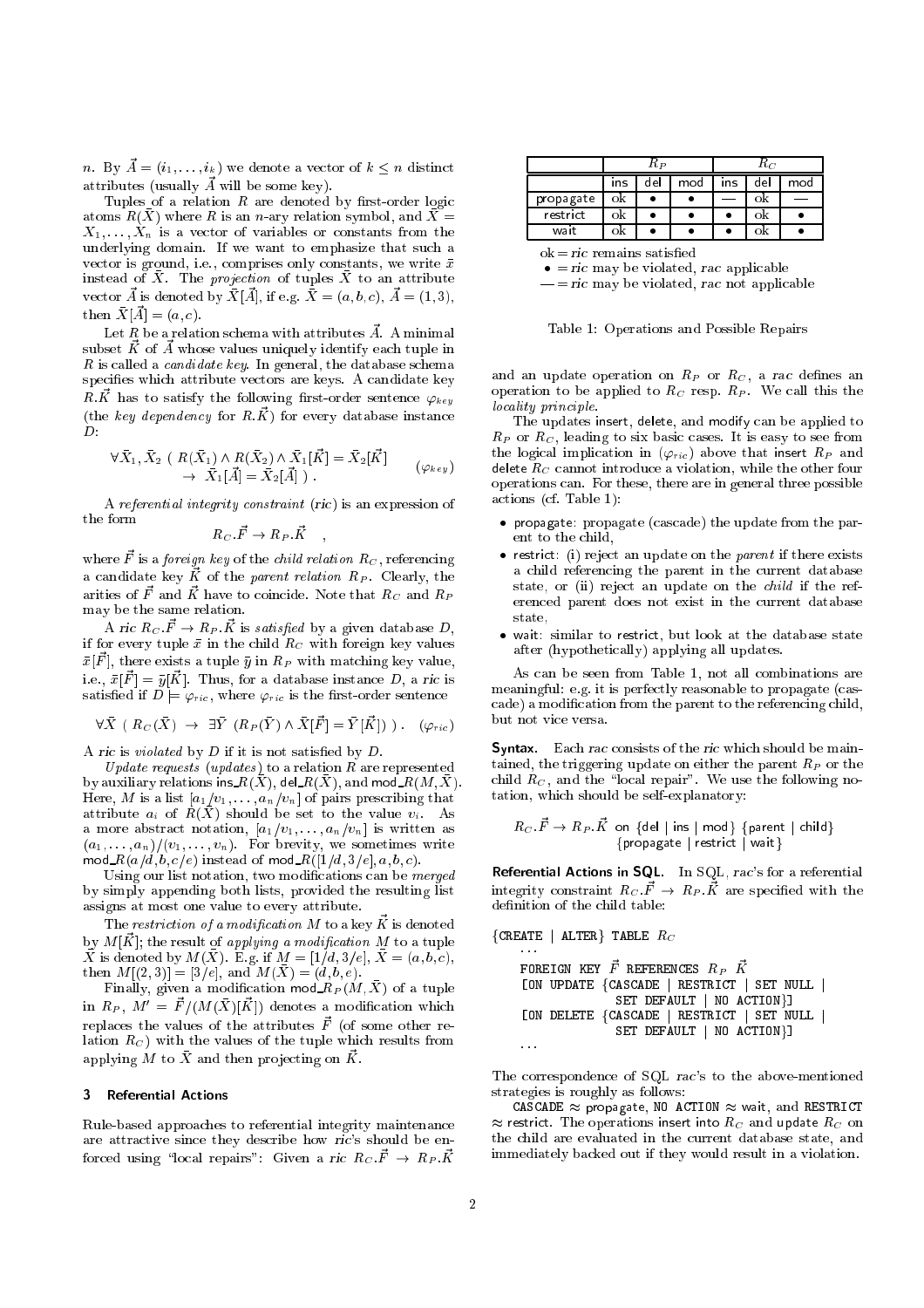n. By  $\vec{A} = (i_1, \ldots, i_k)$  we denote a vector of  $k \leq n$  distinct attributes (usually  $\vec{A}$  will be some key).

Tuples of a relation  $R$  are denoted by first-order logic atoms  $R(\bar{X})$  where R is an n-ary relation symbol, and  $\bar{X} =$  $X_1, \ldots, X_n$  is a vector of variables or constants from the underlying domain. If we want to emphasize that such a vector is ground, i.e., comprises only constants, we write  $\bar{x}$ instead of X. The projection of tuples X to an attribute vector  $\vec{A}$  is denoted by  $\bar{X}[\vec{A}]$ , if e.g.  $\bar{X} = (a, b, c), \ \vec{A} = (1, 3),$ then  $\bar{X}[\vec{A}] = (a, c)$ .

Let  $R$  be a relation schema with attributes  $\vec{A}$ . A minimal subset  $\vec{K}$  of  $\vec{A}$  whose values uniquely identify each tuple in  $R$  is called a *candidate key*. In general, the database schema specifies which attribute vectors are keys. A candidate key R.K has to satisfy the following first-order sentence  $\varphi_{key}$ (the key dependency for  $R.\vec{K}$ ) for every database instance  $\overline{D}$ :

$$
\begin{aligned}\n\forall \bar{X}_1, \bar{X}_2 \ (\ R(\bar{X}_1) \land R(\bar{X}_2) \land \bar{X}_1[\vec{K}] = \bar{X}_2[\vec{K}] \\
&\rightarrow \ \bar{X}_1[\vec{A}] = \bar{X}_2[\vec{A}] \ .\n\end{aligned} \tag{9 \leq
$$

;

A referential integrity constraint (ric) is an expression of

$$
R_C\ \vec{F}\to R_P\ \vec{K}
$$

where  $\vec{F}$  is a *foreign key* of the *child relation*  $R_C$ , referencing a candidate key  $\vec{K}$  of the parent relation  $R_P$ . Clearly, the arities of  $\vec{F}$  and  $\vec{K}$  have to coincide. Note that  $R_C$  and  $R_P$ may be the same relation.

A ric  $R_C \vec{F} \rightarrow R_P \vec{K}$  is satisfied by a given database D, if for every tuple  $\bar{x}$  in the child  $R_C$  with foreign key values  $\bar{x}[\vec{F}],$  there exists a tuple  $\bar{y}$  in  $R_P$  with matching key value, i.e.,  $\bar{x}[\vec{F}] = \bar{y}[\vec{K}]$ . Thus, for a database instance D, a ric is satisfied if  $D \models \varphi_{ric}$ , where  $\varphi_{ric}$  is the first-order sentence

$$
\forall \bar{X} \left( R_C(\bar{X}) \rightarrow \exists \bar{Y} \left( R_P(\bar{Y}) \wedge \bar{X}[\vec{F}] = \bar{Y}[\vec{K}] \right) \right) . \quad (\varphi_{ric})
$$

A ric is *violated* by  $D$  if it is not satisfied by  $D$ .

Update requests (updates) to a relation  $R$  are represented by auxiliary relations ins  $R(X)$ , del $R(X)$ , and mod  $R(M, X)$ . Here, M is a list  $[a_1/v_1, \ldots, a_n/v_n]$  of pairs prescribing that attribute  $a_i$  of  $R(\bar{X})$  should be set to the value  $v_i$ . As a more abstract notation,  $[a_1/v_1, \ldots, a_n/v_n]$  is written as  $(a_1, \ldots, a_n)/(v_1, \ldots, v_n).$  For brevity, we sometimes write mod\_ $R(a/d,b,c/e)$  instead of mod\_ $R([1/d, 3/e], a, b, c)$ .

Using our list notation, two modications can be merged by simply appending both lists, provided the resulting list assigns at most one value to every attribute.

The  $restriction$  of a modification  $M$  to a key  $\vec{K}$  is denoted by  $M[\vec{K}]$ ; the result of *applying a modification* M to a tuple X is denoted by  $M(X)$ . E.g. if  $M = [1/d, 3/e], X = (a, b, c),$  $\text{then } M[(2,3)] = [3/e], \text{ and } M(X) = (d,b,e).$ 

Finally, given a modification mod  $R_P(M,X)$  of a tuple in  $R_P$ ,  $M' = \vec{F} / (M(\bar{X})[\vec{K}])$  denotes a modification which replaces the values of the attributes  $\vec{F}$  (of some other relation  $R_C$ ) with the values of the tuple which results from applying M to  $\bar{X}$  and then projecting on  $\vec{K}$ .

# 3 Referential Actions

Rule-based approaches to referential integrity maintenance are attractive since they describe how ric's should be enforced using "local repairs": Given a ric  $R_C \cdot \vec{F} \rightarrow R_P \cdot \vec{K}$ 

|           | Кp  |     |     | $R_C$      |     |     |
|-----------|-----|-----|-----|------------|-----|-----|
|           | ıns | del | mod | <b>Ins</b> | del | mod |
| propagate | οk  |     |     |            | Οk  |     |
| restrict  | Οk  |     |     |            |     |     |
| wait      | Οk  |     |     |            |     |     |

 $ok = ric$  remains satisfied

 $\bullet$  = ric may be violated, rac applicable

 $=$  ric may be violated, rac not applicable

Table 1: Operations and Possible Repairs

and an update operation on  $R_P$  or  $R_C$ , a rac defines an operation to be applied to  $R_C$  resp.  $R_P$ . We call this the locality principle.

The updates insert, delete, and modify can be applied to  $R_P$  or  $R_C$ , leading to six basic cases. It is easy to see from the logical implication in  $(\varphi_{ric})$  above that insert  $R_P$  and delete  $R_C$  cannot introduce a violation, while the other four operations can. For these, there are in general three possible actions (cf. Table 1):

- propagate: propagate (cascade) the update from the parent to the child,
- $\bullet$  restrict: (i) reject an update on the *parent* if there exists a child referencing the parent in the current database state, or (ii) reject an update on the child if the referenced parent does not exist in the current database state,
- wait: similar to restrict, but look at the database state after (hypothetically) applying all updates.

As can be seen from Table 1, not all combinations are meaningful: e.g. it is perfectly reasonable to propagate (cascade) a modication from the parent to the referencing child,

Syntax. Each rac consists of the ric which should be maintained, the triggering update on either the parent  $R_P$  or the child  $R_C$ , and the "local repair". We use the following notation, which should be self-explanatory:

$$
R_C.\vec{F} \to R_P.\vec{K} \text{ on } \{\text{del} \mid \text{ins} \mid \text{mod}\} \text{ {parent} \mid \text{child} \}
$$
  
{propagate} 
$$
\{\text{restric} \mid \text{wait}\}
$$

Referential Actions in SQL. In SQL, rac's for a referential integrity constraint  $R_C \cdot \vec{F} \rightarrow R_P \cdot \vec{K}$  are specified with the definition of the child table:

```
{C}REATE | ALTER} TABLE R_CFOREIGN KEY \vec{F} references R_P \vec{K}[ON UPDATE fCASCADE j RESTRICT j SET NULL j
                   SET DEFAULT | NO ACTION}]
    [ON DELETE fCASCADE j RESTRICT j SET NULL j
                   SET DEFAULT | NO ACTION}]
    \bar{1} , \bar{1}
```
The correspondence of SQL rac's to the above-mentioned strategies is roughly as follows:

CASCADE  $\approx$  propagate, NO ACTION  $\approx$  wait, and RESTRICT  $\approx$  restrict. The operations insert into  $R_C$  and update  $R_C$  on the child are evaluated in the current database state, and immediately backed out if they would result in a violation.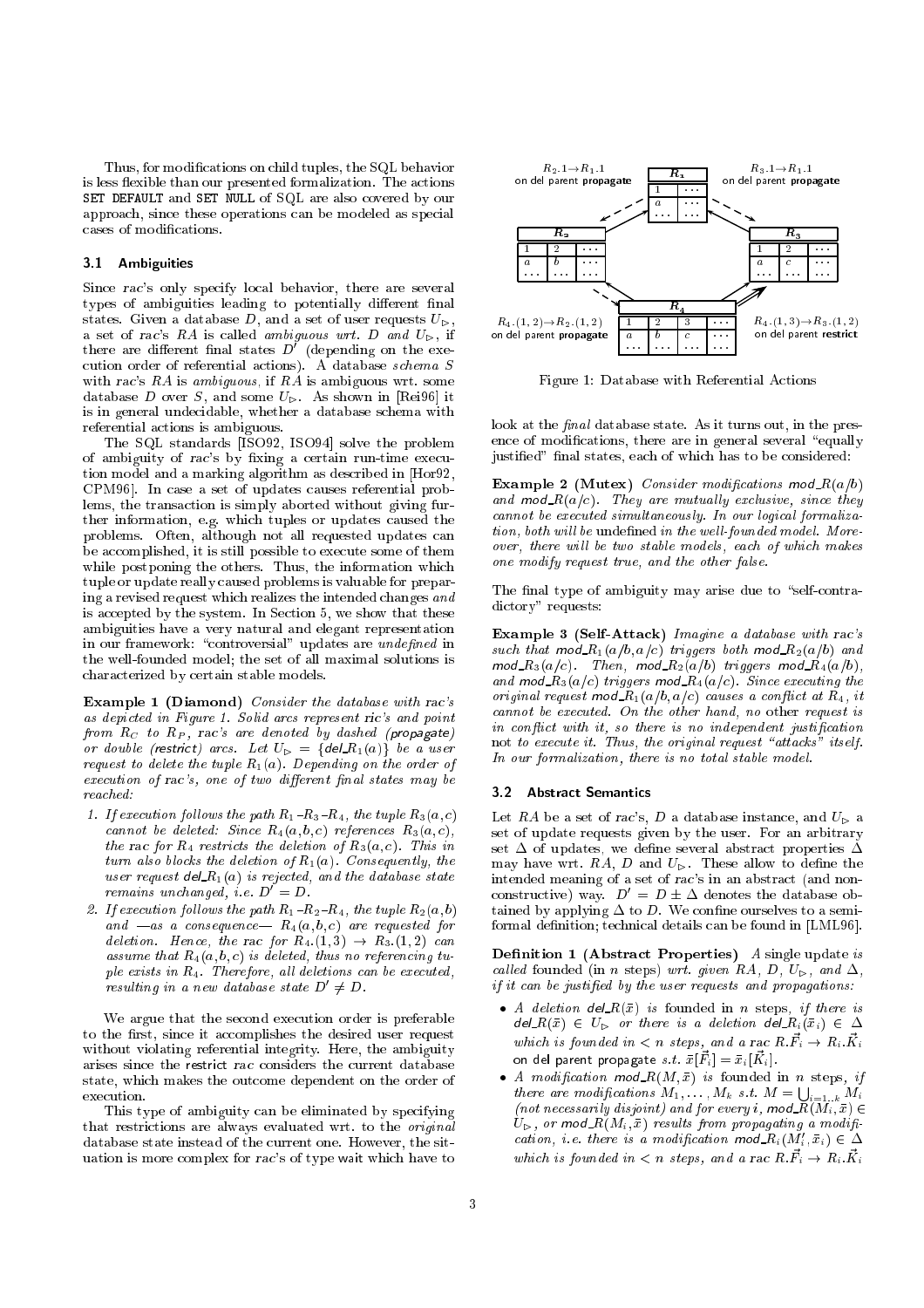Thus, for modications on child tuples, the SQL behavior is less flexible than our presented formalization. The actions SET DEFAULT and SET NULL of SQL are also covered by our approach, since these operations can be modeled as special cases of modications.

# 3.1 Ambiguities

Since rac's only specify local behavior, there are several types of ambiguities leading to potentially different final states. Given a database D, and a set of user requests  $U_{\triangleright}$ , a set of rac's RA is called ambiguous wrt. D and  $U_{\triangleright}$ , if there are different final states  $D'$  (depending on the execution order of referential actions). A database schema S with rac's  $RA$  is ambiguous, if  $RA$  is ambiguous wrt. some database  $D$  over  $S$ , and some  $U_{\triangleright}$ . As shown in [Rei96] it is in general undecidable, whether a database schema with referential actions is ambiguous.

The SQL standards [ISO92, ISO94] solve the problem of ambiguity of rac's by fixing a certain run-time execution model and a marking algorithm as described in [Hor92, CPM96]. In case a set of updates causes referential problems, the transaction is simply aborted without giving further information, e.g. which tuples or updates caused the problems. Often, although not all requested updates can be accomplished, it is still possible to execute some of them while postponing the others. Thus, the information which tuple or update really caused problems is valuable for preparing a revised request which realizes the intended changes and is accepted by the system. In Section 5, we show that these ambiguities have a very natural and elegant representation in our framework: "controversial" updates are undefined in the well-founded model; the set of all maximal solutions is characterized by certain stable models.

Example <sup>1</sup> (Diamond) Consider the database with rac's as depicted in Figure 1. Solid arcs represent ric's and point from  $R_C$  to  $R_P$ , rac's are denoted by dashed (propagate) or double (restrict) arcs. Let  $U_{\triangleright} = \{ \text{del\_R}_1(a) \}$  be a user request to delete the tuple  $R_1(a)$ . Depending on the order of  $execution of rac's, one of two different final states may be$  $reached$ 

- 1. If execution follows the path  $R_1-R_3-R_4$ , the tuple  $R_3(a, c)$ cannot be deleted: Since  $R_4(a, b, c)$  references  $R_3(a, c)$ , the rac for  $R_4$  restricts the deletion of  $R_3(a, c)$ . This in turn also blocks the deletion of  $R_1(a)$ . Consequently, the user request del  $R_1(a)$  is rejected, and the database state remains unchanged, i.e.  $D' = D$ .
- 2. If execution follows the path  $R_1-R_2-R_4$ , the tuple  $R_2(a, b)$ and  $-as$  a consequence  $R_4(a, b, c)$  are requested for deletion. Hence, the rac for  $R_4$ :(1,3)  $\rightarrow R_3$ :(1,2) can assume that  $R_4(a, b, c)$  is deleted, thus no referencing tuple exists in  $R_4$ . Therefore, all deletions can be executed, resulting in a new database state  $D' \neq D$ .

We argue that the second execution order is preferable to the first, since it accomplishes the desired user request without violating referential integrity. Here, the ambiguity arises since the restrict rac considers the current database state, which makes the outcome dependent on the order of

This type of ambiguity can be eliminated by specifying that restrictions are always evaluated wrt. to the original database state instead of the current one. However, the situation is more complex for rac's of type wait which have to



Figure 1: Database with Referential Actions

look at the *final* database state. As it turns out, in the presence of modifications, there are in general several "equally justified" final states, each of which has to be considered:

Example 2 (Mutex) Consider modifications mod $R(a/b)$ and  $mod R(a/c)$ . They are mutually exclusive, since they cannot be executed simultaneously. In our logical formalization, both will be undefined in the well-founded model. Moreover, there will be two stable models, each of which makes one modify request true, and the other false.

The final type of ambiguity may arise due to "self-contradictory" requests:

Example <sup>3</sup> (Self-Attack) Imagine a database with rac's such that  $mod \ R_1(a/b,a/c)$  triggers both mod  $R_2(a/b)$  and  $mod\_R_3(a/c)$ . Then, mod $\_R_2(a/b)$  triggers mod $\_R_4(a/b)$ , and mod  $R_3(a/c)$  triggers mod  $R_4(a/c)$ . Since executing the original request mod  $R_1(a/b, a/c)$  causes a conflict at  $R_4$ , it cannot be executed. On the other hand, no other request is in conflict with it, so there is no independent justification not to execute it. Thus, the original request "attacks" itself. In our formalization, there is no total stable model.

# 3.2 Abstract Semantics

Let RA be a set of rac's, D a database instance, and  $U_{\triangleright}$  a set of update requests given by the user. For an arbitrary set  $\Delta$  of updates, we define several abstract properties  $\Delta$ may have wrt.  $RA$ ,  $D$  and  $U_{\triangleright}$ . These allow to define the intended meaning of a set of rac's in an abstract (and nonconstructive) way.  $D' = D \pm \Delta$  denotes the database obtained by applying  $\Delta$  to D. We confine ourselves to a semiformal definition; technical details can be found in [LML96].

**Definition 1 (Abstract Properties)** A single update is called founded (in n steps) wrt. given RA, D,  $U_{\triangleright}$ , and  $\Delta$ , if it can be justied by the user requests and propagations:

- A deletion del  $R(\bar{x})$  is founded in n steps, if there is  $del_R(\bar{x}) \in U_{\triangleright}$  or there is a deletion  $del_R(\bar{x}_i) \in \Delta$ which is founded in  $\langle n \rangle$  is the stand a rac  $R \cdot \vec{F}_i \rightarrow R_i \cdot \vec{K}_i$ on del parent propagate  $s.t. \ \bar{x}[\vec{F}_i] = \bar{x}_i[\vec{K}_i].$
- A modification mod $R(M, \bar{x})$  is founded in n steps, if there are modifications  $M_1, \ldots, M_k$  s.t.  $M = \bigcup_{i=1...k} M_i$ (not necessarily disjoint) and for every i, mod  $R(M_i, \bar{x}) \in$  $U_{\triangleright}$ , or mod  $R(M_i, \bar{x})$  results from propagating a modification, i.e. there is a modification mod  $R_i(M'_i, \bar{x}_i) \in \Delta$ which is founded in  $\langle n \rangle$  is the stand a rac  $R \cdot \vec{F}_i \rightarrow R_i \cdot \vec{K}_i$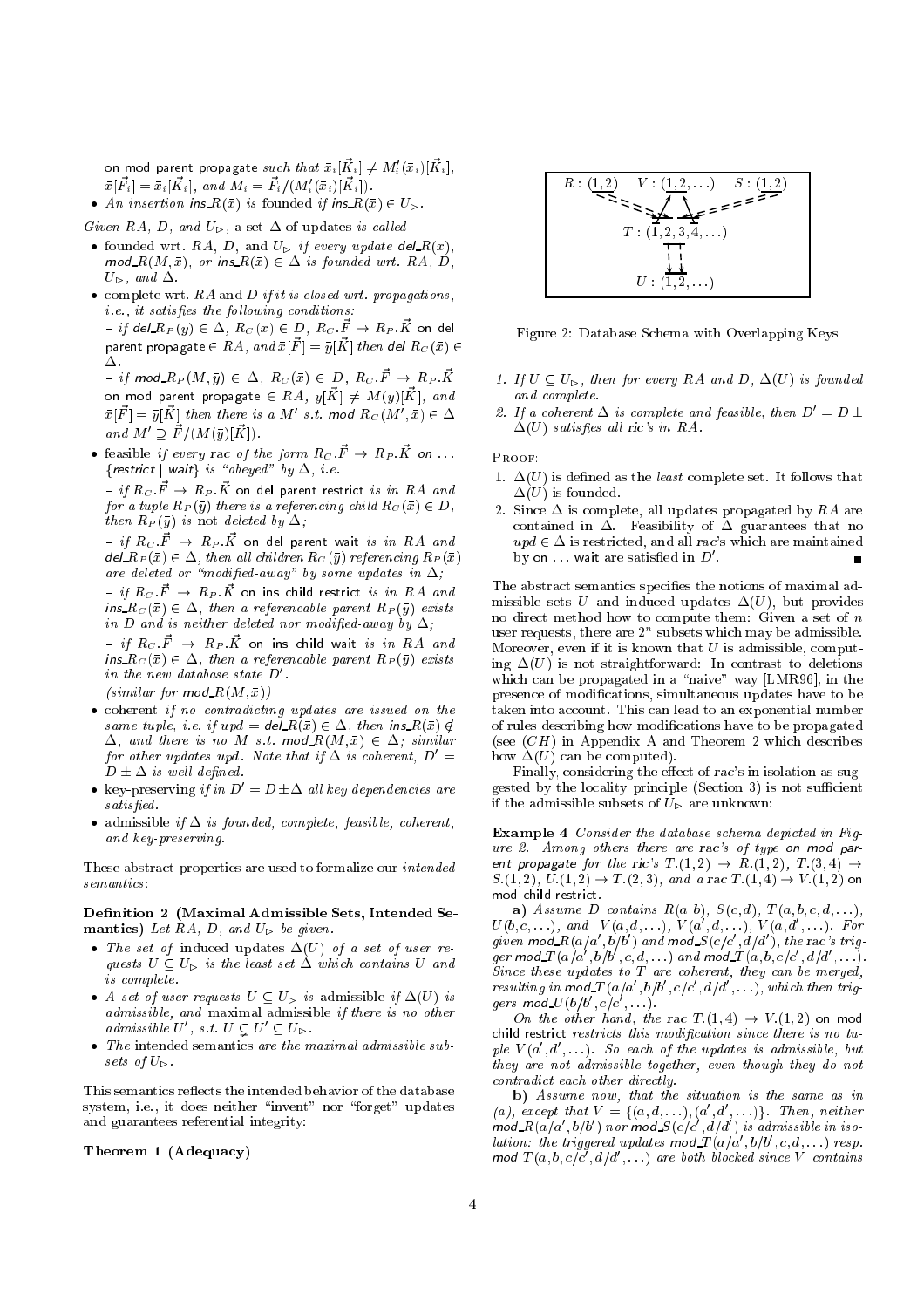on mod parent propagate  $\textit{such that} \; \bar{x}_i[\vec{K}_i] \neq M'_i(\bar{x}_i) [\vec{K}_i],$  $\bar{x}[\vec{F}_i] = \bar{x}_i[\vec{K}_i], \text{ and } M_i = \vec{F}_i / (M_i'(\bar{x}_i)[\vec{K}_i]).$ 

• An insertion ins  $R(\bar{x})$  is founded if ins  $R(\bar{x}) \in U_{\triangleright}$ .

Given RA, D, and  $U_{\triangleright}$ , a set  $\Delta$  of updates is called

- founded wrt. RA, D, and  $U_{\triangleright}$  if every update del  $R(\bar{x})$ ,  $mod_R(M, \bar{x})$ , or ins  $R(\bar{x}) \in \Delta$  is founded wrt. RA, D,  $U_{\triangleright}$ , and  $\Delta$ .
- $\bullet$  complete wrt. RA and D if it is closed wrt. propagations,  $i.e., it satisfies the following conditions:$  ${}-if$  del $R_P(\bar y)\in \Delta,\ R_C(\bar x)\in D,\ R_C.\vec F\to R_P.\vec K$  on del

parent propagate  $\in RA, ~and~ \bar{x}[\vec{F}]=\bar{y}[\vec{K}] ~then~ del~R_C(\bar{x}) \in$  $\overline{f}^{\phantom{\dag}}$  if mod\_Rp(M, $\bar{y})\,\in\,\Delta,\ R_{C}\left(\bar{x}\right)\,\in\,D,\ R_{C}\,\vec{F}\,\rightarrow\, R_{P}\,\vec{K}$ on mod parent propagate  $\in$   $RA,~\bar{y}[\vec{K}]\,\neq\, M(\bar{y})[\vec{K}],~and$  $\bar{x}[\vec{F}]=\bar{y}[\vec{K}]$  then there is a  $M'$  s.t. mod\_ $R_C(M',\bar{x})\in\Delta$ 

and  $M' \supseteq \vec{F}/(M(\bar{y})[\vec{K}]).$ • feasible if every rac of the form  $R_C \cdot \vec{F} \rightarrow R_P \cdot \vec{K}$  on ...

 $f: \mathbb{R}^n \times \mathbb{R}^n \to \mathbb{R}^n$  is the state  $f: \mathbb{R}^n \to \mathbb{R}^n$  ${}-$  if  $R_C$   $\vec{F} \rightarrow R_P$   $\vec{K}$  on del parent restrict *is in*  $RA$  *and* for a tuple  $R_P(\bar{y})$  there is a referencing child  $R_C(\bar{x}) \in D$ , then  $R_P(\bar{y})$  is not deleted by  $\Delta$ ;

– if  $R_C$   $\vec{F}$   $\;\rightarrow$   $\;R_P$   $\vec{K}$  on del parent wait is in  $RA$  and  $del\_R_P(\bar{x}) \in \Delta$ , then all children  $R_C(\bar{y})$  referencing  $R_P(\bar{x})$ are deleted or "modified-away" by some updates in  $\Delta$ ;

- if  ${R}_C$   $\vec{F}$   $\;\rightarrow$   $\,{R}_P$   $\vec{K}$  on ins child restrict *is in*  ${RA}$  *and* ins  $R_C(\bar{x}) \in \Delta$ , then a referencable parent  $R_P(\bar{y})$  exists in D and is neither deleted nor modified-away by  $\Delta$ ;

- if  ${R_C}$  :  $\vec{F}$   $\rightarrow$   ${R_P}$  :  $\vec{K}$  on ins child wait is in RA and ins  $R_C(\bar x)\in \Delta$ , then a referencable parent  $R_P(\bar y)$  exists in the new database state  $D'$ . (similar for  $mod_R(M,\bar{x})$ )

- coherent if no contradicting updates are issued on the same tuple, i.e. if  $upd = del \overline{R}(\overline{x}) \in \Delta$ , then ins  $R(\overline{x}) \notin$  $\Delta$ , and there is no M s.t. mod  $R(M, \bar{x}) \in \Delta$ ; similar for other updates upd. Note that if  $\Delta$  is coherent,  $D' =$
- $D \pm \Delta$  is well-defined. • key-preserving if in  $D' = D \pm \Delta$  all key dependencies are  $satisfied.$
- admissible if  $\Delta$  is founded, complete, feasible, coherent, and key-preserving.

These abstract properties are used to formalize our intended  $semantics$ 

Definition 2 (Maximal Admissible Sets, Intended Semantics) Let  $RA$ , D, and  $U_{\triangleright}$  be given.

- The set of induced updates  $\Delta(U)$  of a set of user requests  $U \subseteq U_{\triangleright}$  is the least set  $\Delta$  which contains U and is complete.
- A set of user requests  $U \subseteq U_{\triangleright}$  is admissible if  $\Delta(U)$  is admissible, and maximal admissible if there is no other admissible U', s.t.  $U \subseteq U' \subseteq U_{\triangleright}$ .
- The intended semantics are the maximal admissible subsets of  $U_{\triangleright}$ .

This semantics reflects the intended behavior of the database system, i.e., it does neither "invent" nor "forget" updates and guarantees referential integrity:

# Theorem <sup>1</sup> (Adequacy)



Figure 2: Database Schema with Overlapping Keys

- 1. If  $U \subseteq U_{\triangleright}$ , then for every RA and D,  $\Delta(U)$  is founded and complete.
- 2. If a coherent  $\Delta$  is complete and feasible, then  $D' = D \pm$  $\Delta(U)$  satisfies all ric's in RA.

Proof:

- 1.  $\Delta(U)$  is defined as the *least* complete set. It follows that  $\Delta(U)$  is founded.
- 2. Since  $\Delta$  is complete, all updates propagated by RA are contained in  $\Delta$ . Feasibility of  $\Delta$  guarantees that no  $upd \in \Delta$  is restricted, and all rac's which are maintained by on  $\dots$  wait are satisfied in  $D'$ .

The abstract semantics specifies the notions of maximal admissible sets U and induced updates  $\Delta(U)$ , but provides no direct method how to compute them: Given a set of  $n$ user requests, there are  $2<sup>n</sup>$  subsets which may be admissible. Moreover, even if it is known that  $U$  is admissible, computing  $\Delta(U)$  is not straightforward: In contrast to deletions which can be propagated in a "naive" way  $[LMR96]$ , in the presence of modications, simultaneous updates have to be taken into account. This can lead to an exponential number of rules describing how modications have to be propagated (see  $(CH)$  in Appendix A and Theorem 2 which describes how  $\Delta(U)$  can be computed).

Finally, considering the effect of rac's in isolation as suggested by the locality principle (Section 3) is not sufficient if the admissible subsets of  $U_{\triangleright}$  are unknown:

Example 4 Consider the database schema depicted in Figure 2. Among others there are rac's of type on mod parent propagate for the ric's  $T.(1,2) \rightarrow R.(1,2), T.(3,4) \rightarrow$  $S.(1,2), U.(1,2) \rightarrow T.(2,3), \text{ and a rac } T.(1,4) \rightarrow V.(1,2) \text{ on }$ 

a) Assume D contains  $R(a, b)$ ,  $S(c, d)$ ,  $T(a, b, c, d, \ldots)$ ,  $U(b,c,\ldots),$  and  $V(a,d,\ldots),$   $V(a',d,\ldots),$   $V(a,d',\ldots).$  For given mod\_ $R(a/a', b/b')$  and mod\_ $S(c/c', d/d')$ , the rac's trigger mod  $T(a/a',b/b',c,d,\ldots)$  and mod  $T(a,b,c/c',d/d',\ldots)$ . Since these updates to  $T$  are coherent, they can be merged, resulting in mod  $T(a/a', b/b', c/c', d/d', \ldots)$ , which then triggers mod\_ $U(b/b',c/c',\ldots).$ 

On the other hand, the rac  $T.(1,4) \rightarrow V.(1,2)$  on mod child restrict restricts this modication since there is no tuple  $V(a', d', \ldots)$ . So each of the updates is admissible, but they are not admissible together, even though they do not contradict each other directly.

b) Assume now, that the situation is the same as in (a), except that  $V = \{(a, d, \ldots), (a', d', \ldots)\}\$ . Then, neither  $mod\ R(a/a', b/b')$  nor mod  $S(c/c', d/d')$  is admissible in isolation: the triggered updates  $\text{mod}\textcolor{red}{T}(a/a',b/b',c,d,\ldots)$  resp.  $mod T(a, b, c/c', d/d', ...)$  are both blocked since V contains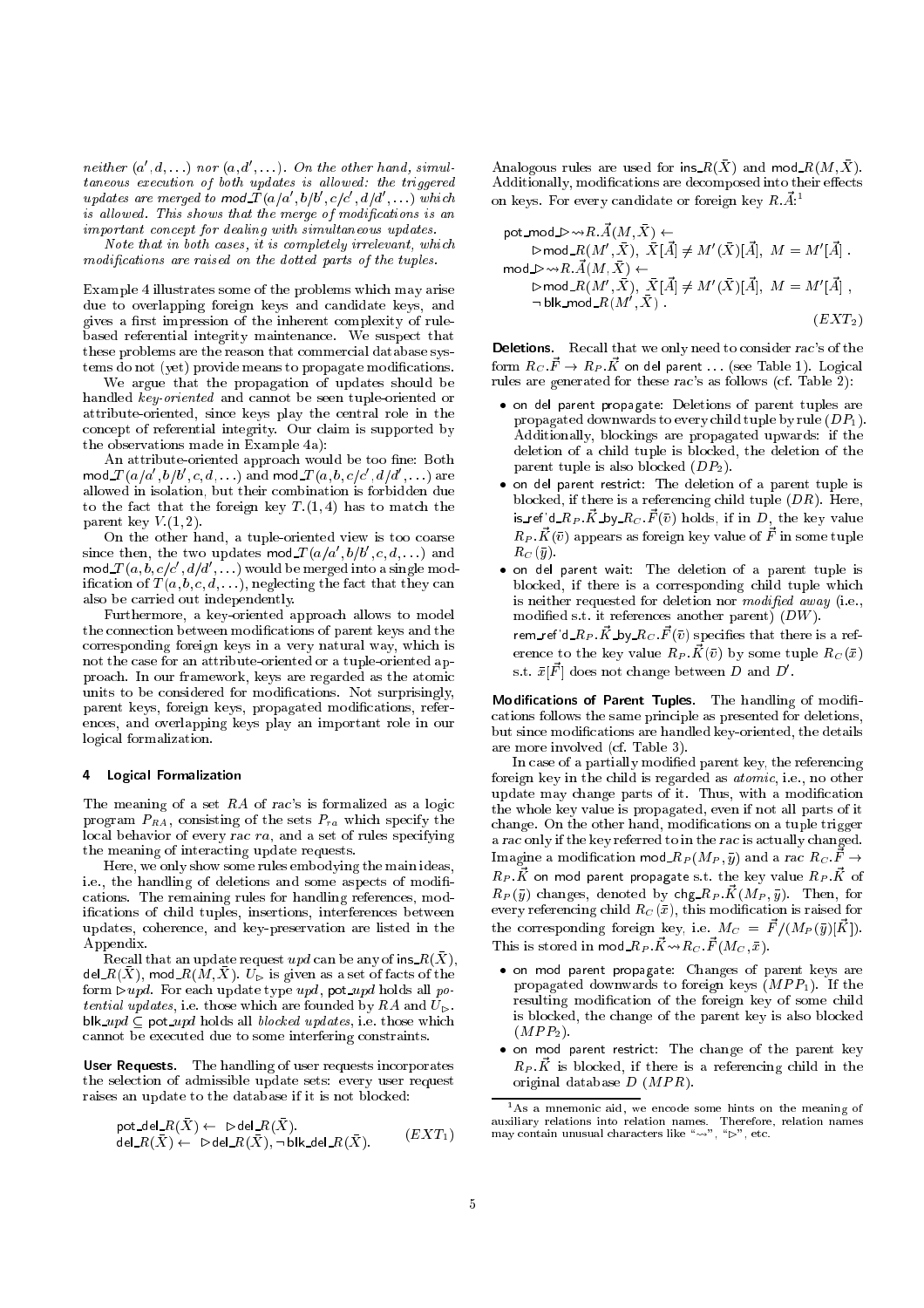neither  $(a', d, \ldots)$  nor  $(a, d', \ldots)$ . On the other hand, simultaneous execution of both updates is allowed: the triggered updates are merged to  $\textsf{mod}\_\textsf{T}(a/a',b/b',c/c',d/d',\ldots)$  which is allowed. This shows that the merge of modifications is an important concept for dealing with simultaneous updates.

Note that in both cases, it is completely irrelevant, which modications are raised on the dotted parts of the tuples.

Example 4 illustrates some of the problems which may arise due to overlapping foreign keys and candidate keys, and gives a first impression of the inherent complexity of rulebased referential integrity maintenance. We suspect that these problems are the reason that commercial database systems do not (yet) provide means to propagate modifications.

We argue that the propagation of updates should be handled key-oriented and cannot be seen tuple-oriented or attribute-oriented, since keys play the central role in the concept of referential integrity. Our claim is supported by the observations made in Example 4a):

An attribute-oriented approach would be too fine: Both mod $T(a/a',b/b',c,d,\ldots)$  and mod $T(a,b,c/c',d/d',\ldots)$  are allowed in isolation, but their combination is forbidden due to the fact that the foreign key  $T.(1,4)$  has to match the parent key  $V(1, 2)$ .

On the other hand, a tuple-oriented view is too coarse since then, the two updates mod $\mathcal{J}(a/a',b/b',c,d, \ldots)$  and <code>mod $\emph{\texttt{T}}(\emph{a}, \emph{b}, \emph{c}/\emph{c}', \emph{d}/\emph{d}', \ldots)$ </code> would be merged into a single modification of  $T(a, b, c, d, \ldots)$ , neglecting the fact that they can also be carried out independently.

Furthermore, a key-oriented approach allows to model the connection between modications of parent keys and the corresponding foreign keys in a very natural way, which is not the case for an attribute-oriented or a tuple-oriented approach. In our framework, keys are regarded as the atomic units to be considered for modications. Not surprisingly, parent keys, foreign keys, propagated modications, references, and overlapping keys play an important role in our logical formalization.

#### 4 Logical Formalization

The meaning of a set RA of rac's is formalized as a logic program  $P_{RA}$ , consisting of the sets  $P_{ra}$  which specify the local behavior of every rac ra, and a set of rules specifying the meaning of interacting update requests.

Here, we only show some rules embodying the main ideas, i.e., the handling of deletions and some aspects of modifications. The remaining rules for handling references, modications of child tuples, insertions, interferences between updates, coherence, and key-preservation are listed in the Appendix.

Recall that an update request  $upd$  can be any of ins  $R(X)$ , del  $R(X)$ , mod  $R(M,X)$ .  $U_{\rhd}$  is given as a set of facts of the form  $\rhd$  upd. For each update type upd, pot upd holds all potential updates, i.e. those which are founded by RA and  $U_{\triangleright}$ . blk\_upd  $\subseteq$  pot\_upd holds all *blocked updates*, i.e. those which cannot be executed due to some interfering constraints.

User Requests. The handling of user requests incorporates the selection of admissible update sets: every user request raises an update to the database if it is not blocked:

$$
\begin{array}{l} \text{pot\_del\_R}(\bar{X}) \leftarrow \text{ } \triangleright \text{del\_R}(\bar{X}). \\ \text{del\_R}(\bar{X}) \leftarrow \text{ } \triangleright \text{del\_R}(\bar{X}), \neg \text{ } \text{blk\_del\_R}(\bar{X}). \end{array} \qquad (EXT_1)
$$

Analogous rules are used for ins  $R(X)$  and mod  $R(M, X)$ . Additionally, modifications are decomposed into their effects on keys. For every candidate or foreign key  $R.\vec{A}$ <sup>1</sup>

$$
\begin{array}{ll}\text{pot\_mod\_}\rhd\leadsto R.\vec{A}(M,\vec{X}) \leftarrow\\ \rhd \text{mod\_}R(M',\vec{X}), \ \ \bar{X}[\vec{A}] \neq M'(\bar{X})[\vec{A}],\ M = M'[\vec{A}] \ .\\ \text{mod\_}\rhd\leadsto R.\vec{A}(M,\vec{X}) \leftarrow\\ \rhd \text{mod\_}R(M',\vec{X}), \ \ \bar{X}[\vec{A}] \neq M'(\vec{X})[\vec{A}],\ M = M'[\vec{A}] \ ,\\ \neg \ \text{blk\_mod\_}R(M',\vec{X}) \ . \end{array}
$$

Deletions. Recall that we only need to consider rac's of the form  $R_C$   $\vec{F}\rightarrow R_P$   $\vec{K}$  on del parent  $\dots$  (see Table 1). Logical rules are generated for these rac's as follows (cf. Table 2):

- on del parent propagate: Deletions of parent tuples are propagated downwards to every child tuple by rule (DP1). Additionally, blockings are propagated upwards: if the deletion of a child tuple is blocked, the deletion of the parent tuple is also blocked  $(DP_2)$ .
- on del parent restrict: The deletion of a parent tuple is blocked, if there is a referencing child tuple  $(DR)$ . Here, is ref'd  $R_P$   $\vec{K}$  by  $R_C$   $\vec{F}(\bar{v})$  holds, if in D, the key value  $R_P \cdot \vec{K}(\bar{v})$  appears as foreign key value of  $\vec{F}$  in some tuple  $R_C(\bar{y})$ .
- on del parent wait: The deletion of a parent tuple is blocked, if there is a corresponding child tuple which is neither requested for deletion nor modified away (i.e., modied s.t. it references another parent) (DW). rem\_ref'd\_ $R_P$  . $\vec{K}$ \_by\_ $R_C$  .  $\vec{F}(\bar{v})$  specifies that there is a ref-

erence to the key value  $R_P \cdot \vec{K}(\bar{v})$  by some tuple  $R_C(\bar{x})$ s.t.  $\bar{x}[\vec{F}]$  does not change between D and D'.

Modifications of Parent Tuples. The handling of modifications follows the same principle as presented for deletions, but since modications are handled key-oriented, the details are more involved (cf. Table 3).

In case of a partially modified parent key, the referencing foreign key in the child is regarded as *atomic*, i.e., no other update may change parts of it. Thus, with a modication the whole key value is propagated, even if not all parts of it change. On the other hand, modications on a tuple trigger a rac only if the key referred to in the rac is actually changed. Imagine a modification mod  $R_P(M_P, \bar{y})$  and a rac  $R_C$ .  $\vec{F} \rightarrow$  $R_P$  :  $\vec{K}$  on mod parent propagate s.t. the key value  $R_P$  :  $\vec{K}$  of  $R_P(\bar y)$  changes, denoted by chg\_ $R_P$ .  $\vec{K}(M_P, \bar{y})$ . Then, for every referencing child  $R_C(\bar{x})$ , this modification is raised for the corresponding foreign key, i.e.  $M_C = \vec{F} / (M_P(\bar{y}) [\vec{K}]).$ This is stored in mod  $R_P$   $\vec{K} \leadsto R_C$   $\vec{F}(M_C, \bar{x})$ .

- on mod parent propagate: Changes of parent keys are propagated downwards to foreign keys  $(MPP<sub>1</sub>)$ . If the resulting modication of the foreign key of some child is blocked, the change of the parent key is also blocked  $(MPP<sub>2</sub>)$ .
- on mod parent restrict: The change of the parent key  $R_P \cdot \vec{K}$  is blocked, if there is a referencing child in the original database  $D$  ( $MPR$ ).

 $^{\mathsf{I}}$ As a mnemonic aid, we encode some hints on the meaning of As a monocode some hints on the meaning of  $\mathbf{M}$  , we encode some hints on the meaning of  $\mathbf{M}$ may contain unusual characters like " $\rightarrow$ ", " $\triangleright$ ", etc.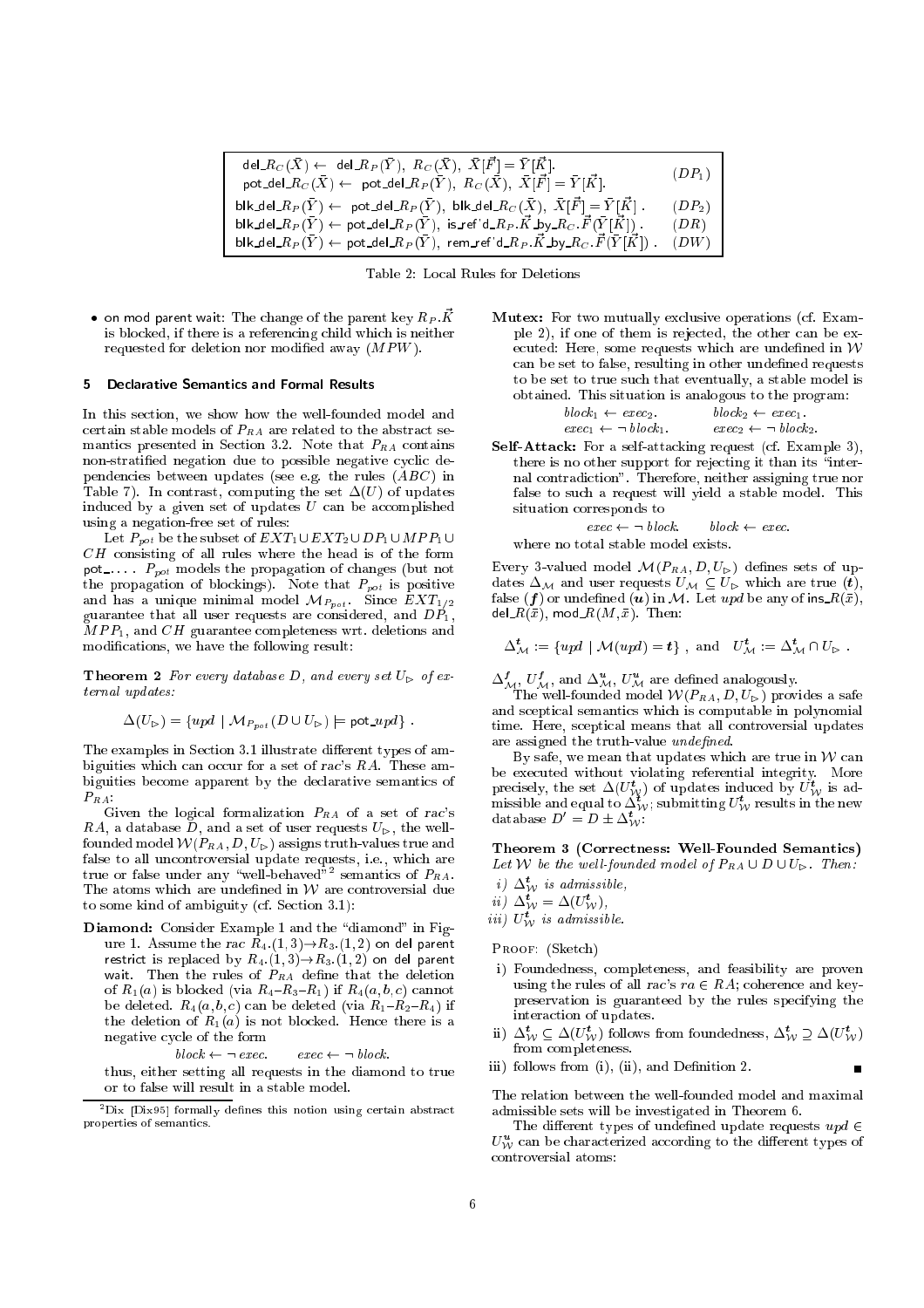| $\mathsf{del}\_\mathit{RC}(\bar{X}) \leftarrow \mathsf{del}\_\mathit{RP}(\bar{Y}),\ R_C(\bar{X}),\ \bar{X}[\bar{F}] = \bar{Y}[\bar{K}].$<br>pot_del_ $R_C(\bar{X}) \leftarrow$ pot_del_ $R_P(\bar{Y}), R_C(\bar{X}), \bar{X}[\vec{F}] = \bar{Y}[\vec{K}].$ | $(DP_1)$ |
|------------------------------------------------------------------------------------------------------------------------------------------------------------------------------------------------------------------------------------------------------------|----------|
| ${\sf blk\_del\_}R_P(\bar{Y}) \leftarrow {\sf pot\_del\_}R_P(\bar{Y}), {\sf blk\_del\_}R_C(\bar{X}), {\;\bar{X}}[\vec{F}] = \bar{Y}[\vec{K}] \;.$                                                                                                          | $(DP_2)$ |
| $\mathsf{blk\_del}\_\mathit{RP}(\bar{Y}) \leftarrow \mathsf{pot}\_\mathit{del}\_\mathit{RP}(\bar{Y}), \mathsf{is}\_\mathit{ref} \mathsf{'d}\_\mathit{RP}.\vec{K}\_\mathsf{by}\_\mathit{RC}.\vec{F}(\bar{Y} \vec{K} )$ .                                    | (DR)     |
| $\mathsf{blk\_del}\_\mathit{Rp}(\bar{Y}) \leftarrow \mathsf{pot}\_\mathit{del}\_\mathit{Rp}(\bar{Y}), \mathsf{rem}\_\mathit{ref}\text{'d}\_\mathit{Rp}.\vec{K}\_\mathit{by}\_\mathit{R_C}.\vec{F}(\bar{Y} \vec{K} ) \ . \tag{DW}$                          |          |

Table 2: Local Rules for Deletions

 $\bullet$  on mod parent wait: The change of the parent key  $R_P$  :  $\vec{K}$ is blocked, if there is a referencing child which is neither requested for deletion nor modified away  $(MPW)$ .

# 5 Declarative Semantics and Formal Results

In this section, we show how the well-founded model and certain stable models of  $P_{RA}$  are related to the abstract semantics presented in Section 3.2. Note that  $P_{RA}$  contains non-stratied negation due to possible negative cyclic dependencies between updates (see e.g. the rules (ABC) in Table 7). In contrast, computing the set  $\Delta(U)$  of updates induced by a given set of updates  $U$  can be accomplished using a negation-free set of rules:

Let  $P_{pot}$  be the subset of  $EXT_1 \cup EXT_2 \cup DP_1 \cup MPP_1 \cup$  $CH$  consisting of all rules where the head is of the form pot\_...  $P_{pot}$  models the propagation of changes (but not the propagation of blockings). Note that  $P_{pot}$  is positive and has a unique minimal model  ${\cal M}_{P_{pot}}$  . Since  $EXT_{1/2}$ guarantee that all user requests are considered, and  $DP_1$ ,  $MPP<sub>1</sub>$ , and  $CH$  guarantee completeness wrt. deletions and modications, we have the following result:

**Theorem 2** For every database D, and every set  $U_{\triangleright}$  of external updates:

$$
\Delta(U_{\triangleright}) = \{ upd \mid \mathcal{M}_{P_{pot}}(D \cup U_{\triangleright}) \models \text{pot\_upd} \}.
$$

The examples in Section 3.1 illustrate different types of ambiguities which can occur for a set of rac's RA. These ambiguities become apparent by the declarative semantics of  $P_{RA}$ :

Given the logical formalization  $P_{RA}$  of a set of rac's RA, a database D, and a set of user requests  $U_{\triangleright}$ , the wellfounded model  $W(P_{RA}, D, U_{\triangleright})$  assigns truth-values true and false to all uncontroversial update requests, i.e., which are true or false under any "well-behaved"<sup>2</sup> semantics of  $P_{RA}$ . The atoms which are undefined in  $W$  are controversial due to some kind of ambiguity (cf. Section 3.1):

Diamond: Consider Example 1 and the "diamond" in Figure 1. Assume the rac  $R_4$ .(1, 3)  $\rightarrow R_3$ .(1, 2) on del parent restrict is replaced by  $R_{4}$   $(1,3)\rightarrow R_{3}\ (1,2)$  on del parent wait. Then the rules of  $P_{RA}$  define that the deletion of  $R_1(a)$  is blocked (via  $R_4-R_3-R_1$ ) if  $R_4(a, b, c)$  cannot be deleted.  $R_4(a, b, c)$  can be deleted (via  $R_1-R_2-R_4$ ) if the deletion of  $R_1(a)$  is not blocked. Hence there is a negative cycle of the form

 $block \leftarrow \neg \; exec. \qquad \textit{exec} \leftarrow \neg \; block.$ 

thus, either setting all requests in the diamond to true or to false will result in a stable model.

Mutex: For two mutually exclusive operations (cf. Example 2), if one of them is rejected, the other can be executed: Here, some requests which are undefined in  $W$ can be set to false, resulting in other undefined requests to be set to true such that eventually, a stable model is obtained. This situation is analogous to the program:

$$
block_1 \leftarrow exec_2. \qquad block_2 \leftarrow exec_1. \\ exec_1 \leftarrow \neg block_1. \qquad exec_2 \leftarrow \neg block_2.
$$

Self-Attack: For a self-attacking request (cf. Example 3), there is no other support for rejecting it than its "internal contradiction". Therefore, neither assigning true nor false to such a request will yield a stable model. This situation corresponds to

$$
exec \leftarrow \neg \, block. \qquad block \leftarrow exec.
$$

where no total stable model exists.

Every 3-valued model  $\mathcal{M}(P_{RA}, D, U_{\triangleright})$  defines sets of updates  $\Delta_M$  and user requests  $U_M \subseteq U_{\triangleright}$  which are true  $(t)$ , false (f) or undefined (*u*) in M. Let upd be any of ins  $R(\bar{x})$ , del\_ $R(\bar x),$  mod\_ $R(M, \bar x).$  Then:

$$
\Delta^{\boldsymbol{t}}_{\mathcal{M}} := \{ upd \mid \mathcal{M}(\text{upd}) = \boldsymbol{t} \}, \text{ and } U^{\boldsymbol{t}}_{\mathcal{M}} := \Delta^{\boldsymbol{t}}_{\mathcal{M}} \cap U_{\triangleright}.
$$

 $\Delta^I_{\mathcal{M}}, U^J_{\mathcal{M}}, \text{ and } \Delta^{\bm u}_{\mathcal{M}}, U^{\bm u}_{\mathcal{M}}$  are defined analogously.

The well-founded model  $\mathcal{W}(P_{RA},D,U_{\rhd})$  provides a safe and sceptical semantics which is computable in polynomial time. Here, sceptical means that all controversial updates are assigned the truth-value undefined.

By safe, we mean that updates which are true in  $W$  can be executed without violating referential integrity. More precisely, the set  $\Delta(U_W^{\nu})$  of updates induced by  $U_W^{\nu}$  is admissible and equal to  $\Delta_W^i$ ; submitting  $U_W^i$  results in the new database  $D' = D \pm \Delta_W^t$ :

## Theorem <sup>3</sup> (Correctness: Well-Founded Semantics) Let W be the well-founded model of  $P_{RA} \cup D \cup U_{\triangleright}$ . Then:

- $i$ )  $\Delta$ <sub>*w*</sub> is aamissible,
- 
- *ii*)  $\Delta_W^{\mathbf{t}} = \Delta(U_W^{\mathbf{t}})$ ,<br>*iii*)  $U_W^{\mathbf{t}}$  *is admissible.*

Proof: (Sketch)

- i) Foundedness, completeness, and feasibility are proven using the rules of all rac's  $ra \in RA$ ; coherence and keypreservation is guaranteed by the rules specifying the interaction of updates.
- ii)  $\Delta^t_W \subseteq \Delta(U^{\tau}_W)$  follows from foundedness,  $\Delta^{\tau}_W \supseteq \Delta(U^{\tau}_W)$ from completeness.

iii) follows from (i), (ii), and Definition 2.

The relation between the well-founded model and maximal admissible sets will be investigated in Theorem 6.

–

The different types of undefined update requests  $upd \in$  $U^{\bm u}_\mathcal{W}$  can be characterized according to the different types of controversial atoms:

 ${}^{2}$ Dix [Dix95] formally defines this notion using certain abstract properties of semantics.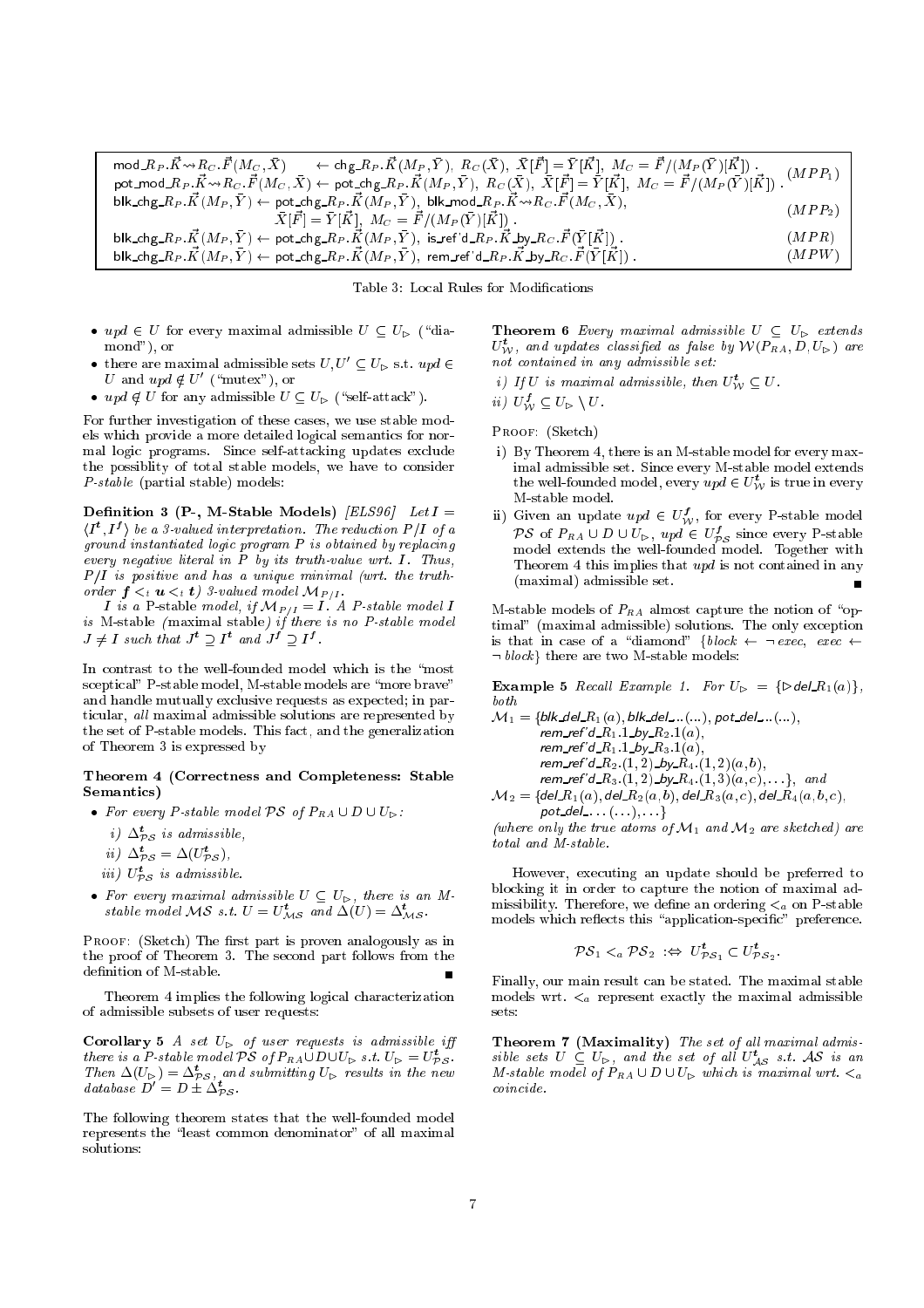$\text{mod}\_{R_P} \cdot \vec{K} \leadsto R_C \cdot \vec{F}(M_C, \bar{X}) \quad \leftarrow \text{chg}\_{R_P} \cdot \vec{K}(M_P, \bar{Y}), \ R_C(\bar{X}), \ \ \vec{X}[\vec{F}] = \bar{Y}[\vec{K}], \ M_C = \vec{F}/(M_P(\bar{Y})[\vec{K}])$ pot\_mod\_ $R_P$ . $\vec K$ ~~ $R_C$ . $\vec F(M_C,\bar X)\gets$  pot\_chg\_ $R_P$ . $\vec K(M_P,\bar Y),\,\,R_C(\bar X),\,\,\bar X[\vec F]=\bar Y[\vec K],\,\,M_C=\vec F/(M_P(\bar Y)[\vec K])$  .  $(MPP<sub>1</sub>)$ blk\_chg\_ $R_P . \vec{K}(M_P, \bar{Y}) \leftarrow$  pot\_chg\_ $R_P . \vec{K}(M_P, \bar{Y}),~$  blk\_mod\_ $R_P . \vec{K} {\leadsto} R_C . \vec{F}(M_C, \bar{X}),$  $\bar{X}[\vec{F}] = \bar{Y}[\vec{K}], \; M_C = \vec{F}/(M_P(\bar{Y})[\vec{K}]) \; .$  $(MPP_2)$ blk chg  $R_P$  :  $\vec{K}(M_P, \vec{Y}) \leftarrow$  pot chg  $R_P$  : $\vec{K}(M_P, \vec{Y})$ , is ref'd  $R_P$  : $\vec{K}$  by  $R_C$  :  $\vec{F}(\vec{Y} | \vec{K})$  :  $(MPR)$ blk\_chg\_ $R_P . \vec K(M_P, \bar Y) \gets$  pot\_chg\_ $R_P . \vec K(M_P, \bar Y), ~$ rem\_ref'd\_ $R_P . \vec K$ \_by\_ $R_C . \vec F(\bar Y|\vec K)$  $(MPW)$ 

Table 3: Local Rules for Modications

- upd  $\in U$  for every maximal admissible  $U \subseteq U_{\triangleright}$  ("diamond"), or
- there are maximal admissible sets  $U, U' \subseteq U_{\triangleright}$  s.t.  $upd \in$ U and  $upd \notin U'$  ("mutex"), or
- upd  $\notin U$  for any admissible  $U \subseteq U_{\triangleright}$  ("self-attack").

For further investigation of these cases, we use stable models which provide a more detailed logical semantics for normal logic programs. Since self-attacking updates exclude the possiblity of total stable models, we have to consider P-stable (partial stable) models:

Definition 3 (P-, M-Stable Models) [ELS96] Let  $I =$  $\langle I^t, I^f \rangle$  be a 3-valued interpretation. The reduction P/I of a ground instantiated logic program P is obtained by replacing every negative literal in  $P$  by its truth-value wrt.  $I$ . Thus,  $P/I$  is positive and has a unique minimal (wrt. the truthorder  $f \leq_t u \leq_t t$ ) 3-valued model  $\mathcal{M}_{P/I}$ .

*I* is a P-stable model, if  $\mathcal{M}_{P/I} = I$  . A P-stable model *I* is M-stable ( maximal stable) if there is no P-stable model model model model model model model model model mod  $J \neq I$  such that  $J^{\tau} \supset I^{\tau}$  and  $J^{\tau} \supset I^{\tau}$ .

In contrast to the well-founded model which is the "most sceptical" P-stable model, M-stable models are "more brave" and handle mutually exclusive requests as expected; in particular, all maximal admissible solutions are represented by the set of P-stable models. This fact, and the generalization of Theorem 3 is expressed by

# Theorem <sup>4</sup> (Correctness and Completeness: Stable Semantics)

- For every P-stable model  $\mathcal{PS}$  of  $P_{RA} \cup D \cup U_{\triangleright}$ :
	- $i$ )  $\Delta_{\mathcal{PS}}$  is aamissible,
	- ii)  $\Delta_{\mathcal{PS}}^{\mathbf{t}} = \Delta(U_{\mathcal{PS}}^{\mathbf{t}}),$
	- iii)  $U_{\mathcal{PS}}^{\mathbf{t}}$  is admissible.
- For every maximal admissible  $U \subseteq U_{\triangleright}$ , there is an Mstable model MS s.t.  $U = U_{MS}^t$  and  $\Delta(U) = \Delta_{MS}^t$ .

PROOF: (Sketch) The first part is proven analogously as in the proof of Theorem 3. The second part follows from the definition of M-stable.

Theorem 4 implies the following logical characterization of admissible subsets of user requests:

Corollary 5 A set  $U_{\triangleright}$  of user requests is admissible iff there is a P-stable model PS of  $P_{RA} \cup D \cup U_{\triangleright}$  s.t.  $U_{\triangleright} = U_{\mathcal{PS}}^{\tau}$ . Then  $\Delta(U_{\triangleright}) = \Delta_{\mathcal{PS}}^t$ , and submitting  $U_{\triangleright}$  results in the new database  $D' = D \pm \Delta_{\mathcal{PS}}^{\epsilon}$ .

The following theorem states that the well-founded model represents the "least common denominator" of all maximal solutions:

**Theorem 6** Every maximal admissible  $U \subseteq U_{\triangleright}$  extends  $U_{\mathcal{W}}^{\iota}$ , and updates classified as false by  $\mathcal{W}(P_{RA}, D, U_{\triangleright})$  are not contained in any admissible set:

i) If U is maximal admissible, then  $U_{\mathcal{W}}^{\iota} \subseteq U$ .

 $ii) U'_{\mathcal{W}} \subseteq U_{\triangleright} \setminus U.$ 

PROOF: (Sketch)

- i) By Theorem 4, there is an M-stable model for every maximal admissible set. Since every M-stable model extends the well-founded model, every  $\textit{upd} \in U_{\mathcal{W}}^{\iota}$  is true in every M-stable model.
- ii) Given an update  $upd \in U_{\mathcal{W}}'$ , for every P-stable model PS of  $P_{RA} \cup D \cup U_{\triangleright}$ ,  $upd \in U_{\mathcal{PS}}^{J}$  since every P-stable model extends the well-founded model. Together with Theorem 4 this implies that upd is not contained in any (maximal) admissible set. –

M-stable models of  $P_{RA}$  almost capture the notion of "optimal" (maximal admissible) solutions. The only exception is that in case of a "diamond"  $\{block \leftarrow \neg \, exec, \, exec \leftarrow \neg \,$  $\neg block\}$  there are two M-stable models:

**Example 5** Recall Example 1. For  $U_{\triangleright} = {\lbrace \triangleright \mathsf{del\_R}_1(a) \rbrace}$ , both  $\overline{u}$  is the contract deleter of  $\overline{u}$ ; potentialism and  $\overline{u}$ ; potentialism and  $\overline{u}$ 

$$
\mathcal{M}_1 = \{ \text{blk\_del\_K}_1(a), \text{blk\_del\_...}(...), \text{pot\_del\_...}(...), \\ \text{rem\_ref'} d.R_1.1\_by\_R_2.1(a), \\ \text{rem\_ref'} d.R_1.1\_by\_R_3.1(a), \\ \text{rem\_ref'} d.R_2.1, 2).by\_R_4.1, 2)(a, b), \\ \text{rem\_ref'} d.R_3.1, 2).by\_R_4.1, 3)(a, c), ... \}, \text{ and } \\ \mathcal{M}_2 = \{ \text{del\_R}_1(a), \text{del\_R}_2(a, b), \text{del\_R}_3(a, c), \text{del\_R}_4(a, b, c), \text{del\_R}_4(a, b, c), \text{del\_R}_5(a, c), \text{del\_R}_4(a, b, c), \text{del\_R}_5(a, b, c), \text{del\_R}_6(a, b, c), \text{del\_R}_7(a, b, c), \text{del\_R}_8(a, b, c), \text{del\_R}_8(a, b, c), \text{del\_R}_9(a, b, c), \text{del\_R}_9(a, b, c), \text{del\_R}_9(a, b, c), \text{del\_R}_9(a, b, c), \text{del\_R}_9(a, b, c), \text{del\_R}_1(a, b, c), \text{del\_R}_1(a, b, c), \text{del\_R}_1(a, b, c), \text{del\_R}_1(a, b, c), \text{del\_R}_2(a, b, c), \text{del\_R}_3(a, b, c), \text{del\_R}_4(a, b, c), \text{del\_R}_1(a, b, c), \text{del\_R}_2(a, b, c), \text{del\_R}_3(a, b, c), \text{del\_R}_4(a, b, c), \text{del\_R}_5(a, b, c), \text{del\_R}_6(a, b, c), \text{del\_R}_8(a, b, c), \text{del\_R}_8(a, b, c), \text{del\_R}_9(a, b, c), \text{del\_R}_9(a, b, c), \text{del\_R}_9(a, b, c), \text{del\_R}_9(a, b, c), \text{del\_R}_9(a, b, c), \text{del\_R}_9(a, b, c), \text{del\_R}_9(a, b, c), \text{del\_R}_9(a, b, c), \text{del\_R}_9(a, b, c), \text{del\_R}_9(a, b, c), \text{del\_
$$

pot del : : : (: : :); : : :g (where only the true atoms of  $\mathcal{M}_1$  and  $\mathcal{M}_2$  are sketched) are total and M-stable.

However, executing an update should be preferred to blocking it in order to capture the notion of maximal admissibility. Therefore, we define an ordering  $\lt_a$  on P-stable models which reflects this "application-specific" preference.

$$
\mathcal{PS}_1 \leq_a \mathcal{PS}_2 \iff U^t_{\mathcal{PS}_1} \subset U^t_{\mathcal{PS}_2}
$$

:

Finally, our main result can be stated. The maximal stable models wrt.  $\lt_a$  represent exactly the maximal admissible

Theorem 7 (Maximality) The set of all maximal admissible sets  $U \subseteq U_{\triangleright}$ , and the set of all  $U_{AS}^{\iota}$  s.t. AS is an M-stable model of  $P_{RA} \cup D \cup U_{\triangleright}$  which is maximal wrt.  $\lt_a$  $coincide$ .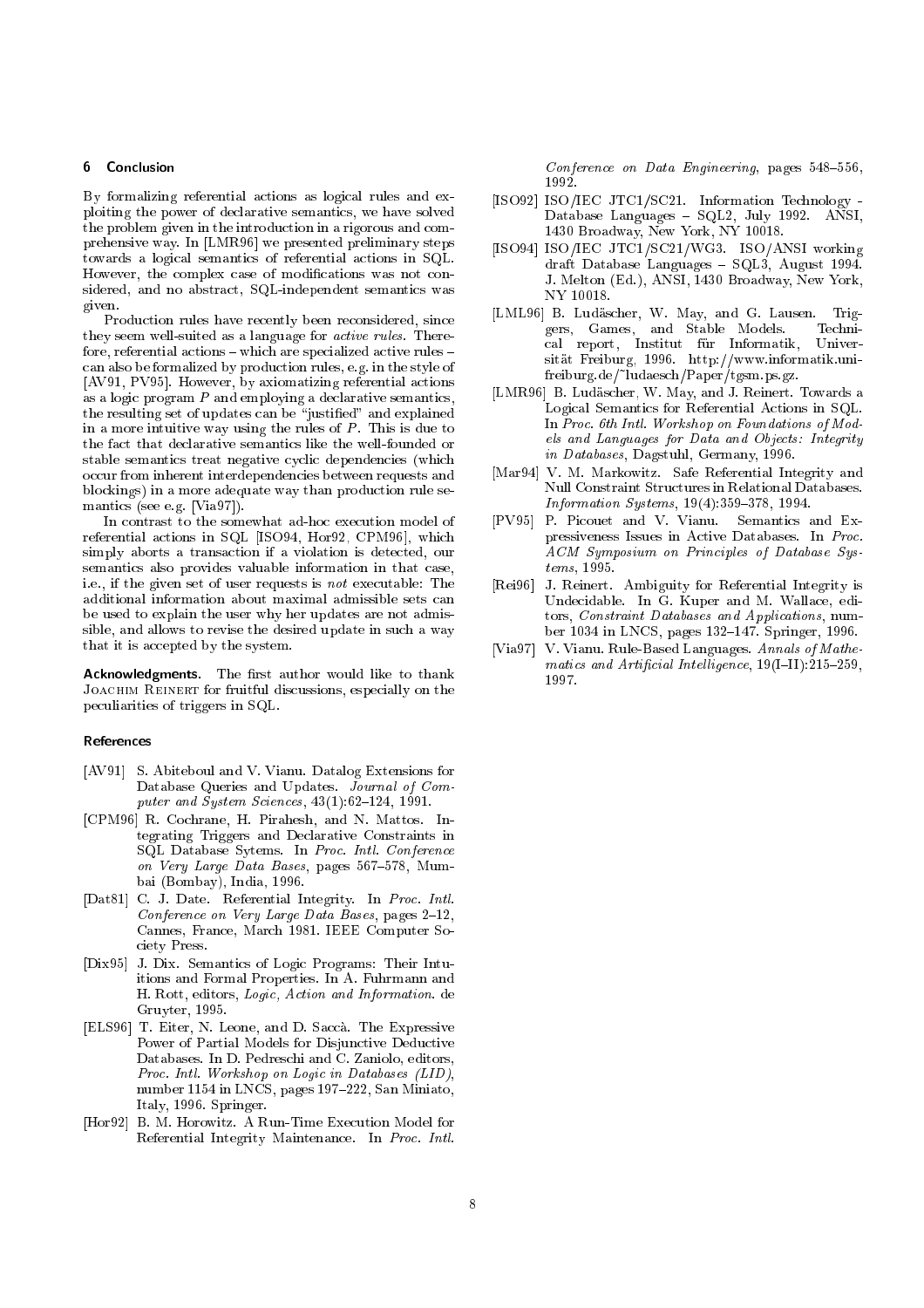# 6 Conclusion

By formalizing referential actions as logical rules and exploiting the power of declarative semantics, we have solved the problem given in the introduction in a rigorous and comprehensive way. In [LMR96] we presented preliminary steps towards a logical semantics of referential actions in SQL. However, the complex case of modications was not considered, and no abstract, SQL-independent semantics was given.

Production rules have recently been reconsidered, since they seem well-suited as a language for active rules. Therefore, referential actions  $-$  which are specialized active rules  $$ can also be formalized by production rules, e.g. in the style of [AV91, PV95]. However, by axiomatizing referential actions as a logic program P and employing a declarative semantics, the resulting set of updates can be "justified" and explained in a more intuitive way using the rules of  $P$ . This is due to the fact that declarative semantics like the well-founded or stable semantics treat negative cyclic dependencies (which occur from inherent interdependencies between requests and blockings) in a more adequate way than production rule semantics (see e.g. [Via97]).

In contrast to the somewhat ad-hoc execution model of referential actions in SQL [ISO94, Hor92, CPM96], which simply aborts a transaction if a violation is detected, our semantics also provides valuable information in that case, i.e., if the given set of user requests is not executable: The additional information about maximal admissible sets can be used to explain the user why her updates are not admissible, and allows to revise the desired update in such a way that it is accepted by the system.

Acknowledgments. The first author would like to thank Joachim Reinert for fruitful discussions, especially on the peculiarities of triggers in SQL.

# References

- [AV91] S. Abiteboul and V. Vianu. Datalog Extensions for Database Queries and Updates. Journal of Computer and System Sciences,  $43(1):62-124$ , 1991.
- [CPM96] R. Cochrane, H. Pirahesh, and N. Mattos. Integrating Triggers and Declarative Constraints in SQL Database Sytems. In Proc. Intl. Conference on Very Large Data Bases, pages  $567-578$ , Mumbai (Bombay), India, 1996.
- [Dat81] C. J. Date. Referential Integrity. In Proc. Intl. Conference on Very Large Data Bases, pages  $2-12$ , Cannes, France, March 1981. IEEE Computer Society Press.
- [Dix95] J. Dix. Semantics of Logic Programs: Their Intuitions and Formal Properties. In A. Fuhrmann and H. Rott, editors, Logic, Action and Information. de Gruyter, 1995.
- [ELS96] T. Eiter, N. Leone, and D. Sacca. The Expressive Power of Partial Models for Disjunctive Deductive Databases. In D. Pedreschi and C. Zaniolo, editors, Proc. Intl. Workshop on Logic in Databases (LID), number 1154 in LNCS, pages  $197-222$ , San Miniato, Italy, 1996. Springer.
- [Hor92] B. M. Horowitz. A Run-Time Execution Model for Referential Integrity Maintenance. In Proc. Intl.

Conference on Data Engineering, pages  $548-556$ , 1992

- $\blacksquare$  ISO/IEC  $\blacksquare$  ISO/IEC  $\blacksquare$  is the set of the set of the set of the set of the set of the set of the set of the set of the set of the set of the set of the set of the set of the set of the set of the set of the s Database Languages { SQL2, July 1992. ANSI, 1430 Broadway, New York, NY 10018.
- [ISO94] ISO/IEC JTC1/SC21/WG3. ISO/ANSI working draft Database Languages - SQL3, August 1994. J. Melton (Ed.), ANSI, 1430 Broadway, New York, NY 10018.
- [LML96] B. Ludäscher, W. May, and G. Lausen. Triggers, Games, and Stable Models. Technical report, Institut für Informatik, Universitat Freiburg, 1996. http://www.informatik.unifreiburg.de/~ludaesch/Paper/tgsm.ps.gz.
- [LMR96] B. Ludäscher, W. May, and J. Reinert. Towards a Logical Semantics for Referential Actions in SQL. In Proc. 6th Intl. Workshop on Foundations of Models and Languages for Data and Objects: Integrity in Databases, Dagstuhl, Germany, 1996.
- [Mar94] V. M. Markowitz. Safe Referential Integrity and Null Constraint Structures in Relational Databases. *Information Systems*,  $19(4):359-378$ , 1994.
- [PV95] P. Picouet and V. Vianu. Semantics and Expressiveness Issues in Active Databases. In Proc. ACM Symposium on Principles of Database Systems, 1995.
- [Rei96] J. Reinert. Ambiguity for Referential Integrity is Undecidable. In G. Kuper and M. Wallace, editors, Constraint Databases and Applications, number 1034 in LNCS, pages 132-147. Springer, 1996.
- [Via97] V. Vianu. Rule-Based Languages. Annals of Mathematics and Artificial Intelligence,  $19(I-II):215-259$ , 1997.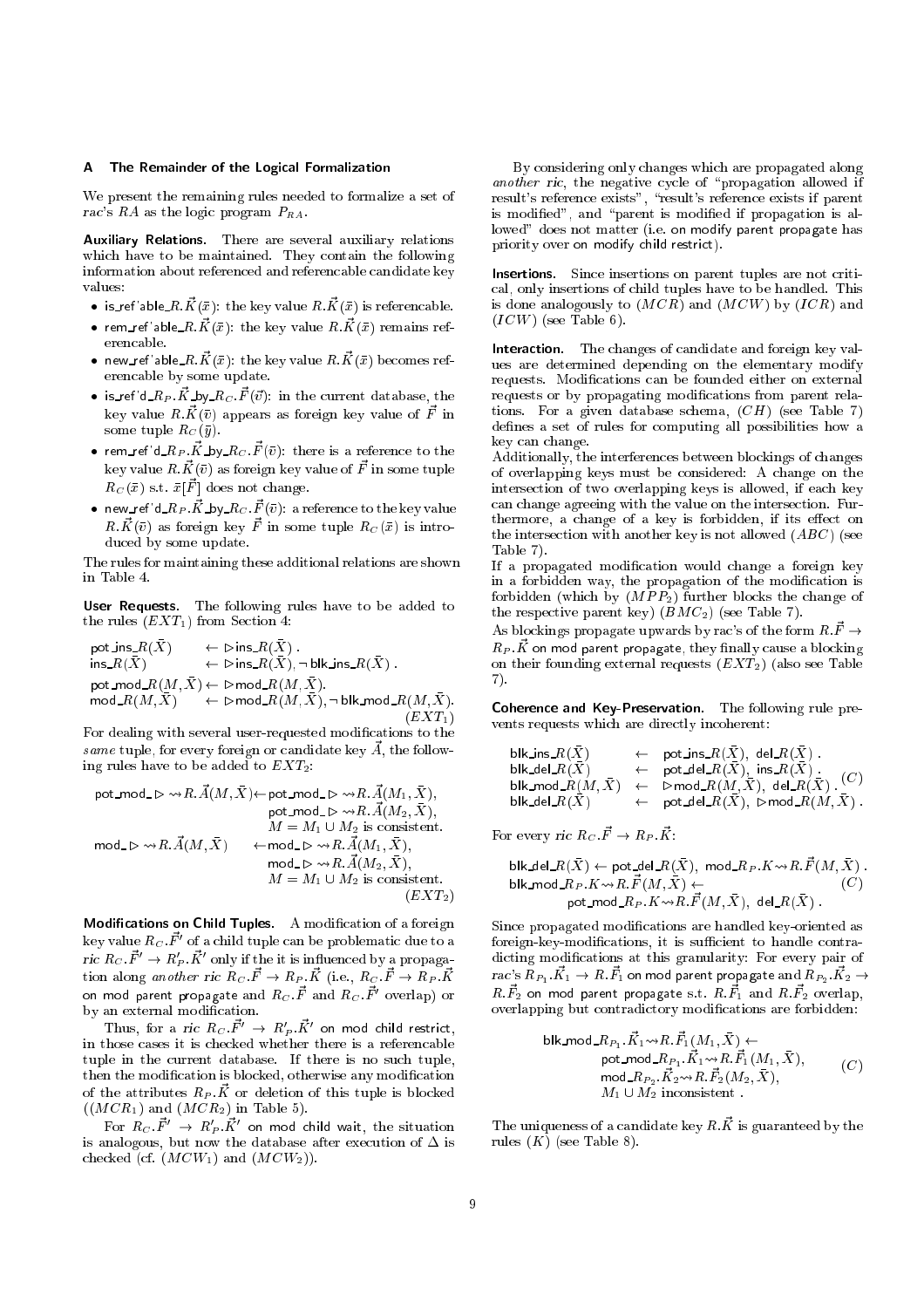#### A The Remainder of the Logical Formalization

We present the remaining rules needed to formalize a set of rac's RA as the logic program  $P_{RA}$ .

Auxiliary Relations. There are several auxiliary relations which have to be maintained. They contain the following information about referenced and referencable candidate key values:

- $\bullet\;$  is ref 'able  $R.\vec{K}(\bar{x})$ : the key value  $R.\vec{K}(\bar{x})$  is referencable.
- $\bullet$  rem\_ref'able\_ $R.\vec{K}(\bar{x})$ : the key value  $R.\vec{K}(\bar{x})$  remains referencable.
- $\bullet\,$  new\_ref'able\_ $R.\vec{K}(\bar{x})$ : the key value  $R.\vec{K}(\bar{x})$  becomes referencable by some update.
- $\bullet$  is ref'd  $R_P$   $\vec{K}$  by  $R_C$   $\vec{F}(\vec{v})$ : in the current database, the key value  $R.\vec{K}(\bar{v})$  appears as foreign key value of  $\vec{F}$  in some tuple  $R_C(\bar{y})$ .
- $\bullet\,$  rem\_ref'd\_ $R_P$  . $\vec{K}$ \_by\_ $R_C$  .  $\vec{F}(\bar{v})$ : there is a reference to the key value  $R.\vec{K}(\bar{v})$  as foreign key value of  $\vec{F}$  in some tuple  $R_C(\bar x)$  s.t.  $\bar x[\vec F]$  does not change.
- $\bullet\,$  new\_ref'd\_ $R_P$  . $\vec{K}$ \_by\_ $R_C$  .  $\vec{F}(\bar{v})$ : a reference to the key value  $R.\vec{K}(\bar{v})$  as foreign key  $\vec{F}$  in some tuple  $R_{C}(\bar{x})$  is introduced by some update.

The rules for maintaining these additional relations are shown

User Requests. The following rules have to be added to the rules  $(EXT_1)$  from Section 4:

$$
\begin{array}{lll} \mathsf{pot\_ins\_R}(\bar{X}) & \leftarrow \vartriangleright \mathsf{ins\_R}(\bar{X})\\ \mathsf{ins\_R}(\bar{X}) & \leftarrow \vartriangleright \mathsf{ins\_R}(\bar{X}), \neg \mathsf{blk\_ins\_R}(\bar{X})\\ \mathsf{pot\_mod\_R}(M, \bar{X}) & \leftarrow \vartriangleright \mathsf{mod\_R}(M, \bar{X}).\\ \mathsf{mod\_R}(M, \bar{X}) & \leftarrow \vartriangleright \mathsf{mod\_R}(M, \bar{X}), \neg \mathsf{blk\_mod\_R}(M, \bar{X}).\\ (EXT_1) \end{array}
$$

For dealing with several user-requested modications to the same tuple, for every foreign or candidate key  $\vec{A}$ , the following rules have to be added to  $EXT_2$ :

$$
\begin{array}{ll} \text{pot\_mod\_}\rhd\leadsto R.\vec{A}(M,\bar{X})\!\leftarrow\!\!\mathsf{pot\_mod\_}\rhd\leadsto R.\vec{A}(M_1,\bar{X}),\\ \text{pot\_mod\_}\rhd\leadsto R.\vec{A}(M_2,\bar{X}),\\ M=M_1\cup M_2\text{ is consistent}.\\\ \text{mod\_}\rhd\leadsto R.\vec{A}(M,\bar{X}) &\leftarrow\!\!\!\mathsf{mod\_}\rhd\leadsto R.\vec{A}(M_1,\bar{X}),\\ \text{mod\_}\rhd\leadsto R.\vec{A}(M_2,\bar{X}),\\ M=M_1\cup M_2\text{ is consistent}.\\\ (EXT_2) \end{array}
$$

Modifications on Child Tuples. A modification of a foreign key value  $R_C$ .  $\vec{F}$  of a child tuple can be problematic due to a<br>ric  $R_C$ .  $\vec{F}$   $\rightarrow$   $R'_P$ .  $\vec{K}$  only if the it is influenced by a propagation along *another ric*  $R_C \cdot \vec{F} \rightarrow R_P \cdot \vec{K}$  (i.e.,  $R_C \cdot \vec{F} \rightarrow R_P \cdot \vec{K}$ on mod parent propagate and  $R_C$   $\vec{F}$  and  $R_C$   $\vec{F}^\prime$  overlap) or by an external modification.

Thus, for a *ric*  $R_C$  $\vec{F}^\prime$  $\;\rightarrow$  $\;R_P^\prime$  $\vec{K}^\prime$  on mod child restrict, in those cases it is checked whether there is a referencable tuple in the current database. If there is no such tuple, then the modication is blocked, otherwise any modication of the attributes  $R_P$   $\vec{K}$  or deletion of this tuple is blocked  $((MCR<sub>1</sub>)$  and  $(MCR<sub>2</sub>)$  in Table 5).

For  $R_C$   $\vec{F}^\prime$   $\;\rightarrow$   $\;R_P^\prime$   $\vec{K}^\prime$  on mod child wait, the situation checked (cf.  $(MCW_1)$  and  $(MCW_2)$ ).

By considering only changes which are propagated along another ric, the negative cycle of "propagation allowed if result's reference exists", "result's reference exists if parent is modified", and "parent is modified if propagation is allowed" does not matter (i.e. on modify parent propagate has priority over on modify child restrict).

Insertions. Since insertions on parent tuples are not critical, only insertions of child tuples have to be handled. This is done analogously to  $(MCR)$  and  $(MCW)$  by  $(ICR)$  and  $(ICW)$  (see Table 6).

Interaction. The changes of candidate and foreign key values are determined depending on the elementary modify requests. Modifications can be founded either on external requests or by propagating modifications from parent relations. For a given database schema,  $(CH)$  (see Table 7) defines a set of rules for computing all possibilities how a key can change. key can change.

Additionally, the interferences between blockings of changes of overlapping keys must be considered: A change on the intersection of two overlapping keys is allowed, if each key can change agreeing with the value on the intersection. Furthermore, a change of a key is forbidden, if its effect on the intersection with another key is not allowed  $(ABC)$  (see Table 7). Table 7).

If a propagated modication would change a foreign key in a forbidden way, the propagation of the modification is forbidden (which by  $(MPP_2)$  further blocks the change of the respective parent key)  $(BMC_2)$  (see Table 7).

As blockings propagate upwards by rac's of the form  $R.\vec{F} \rightarrow$  $R_P$   $\vec{K}$  on mod parent propagate, they finally cause a blocking on their founding external requests  $(EXT_2)$  (also see Table 7). 7).

Coherence and Key-Preservation. The following rule prevents requests which are directly incoherent:

| blk_ins_ $R(X)$ | $\leftarrow$ pot_ins_ $R(\bar{X})$ , del_ $R(\bar{X})$ .                                                           |
|-----------------|--------------------------------------------------------------------------------------------------------------------|
| blk_del_ $R(X)$ | $\leftarrow$ pot_del_ $R(\bar{X})$ , ins_ $R(X)$ .<br>(C)                                                          |
|                 | $\mathsf{blk\_mod\_}R(M,\bar X) \quad\leftarrow\quad\mathsf{Pmod\_}R(M,\bar X),\ \mathsf{del\_}R(\bar X)\enspace.$ |
| blk_del_ $R(X)$ | $\leftarrow$ pot_del_ $R(\bar{X}),$ $\triangleright$ mod_ $R(M, \bar{X})$ .                                        |

For every ric  $R_C \vec{F} \rightarrow R_P \vec{K}$ :

$$
\begin{array}{l} \text{blk\_del\_R}(\bar{X}) \leftarrow \text{pot\_del\_R}(\bar{X}), \ \text{mod\_R}_P. K \leadsto R.\vec{F}(M, \bar{X}) \ . \\ \text{blk\_mod\_R}_P. K \leadsto R.\vec{F}(M, \bar{X}) \leftarrow \\ \text{pot\_mod\_R}_P. K \leadsto R.\vec{F}(M, \bar{X}), \ \text{del\_R}(\bar{X}) \ . \end{array} \tag{C}
$$

Since propagated modications are handled key-oriented as foreign-key-modifications, it is sufficient to handle contradicting modications at this granularity: For every pair of  $rac{\cdot}{s}$ s  $R_{P_1}$ . $\vec{K_1} \rightarrow R.\vec{F_1}$  on mod parent propagate and  $R_{P_2}$ . $\vec{K_2} \rightarrow$  $R.\vec{F_2}$  on mod parent propagate s.t.  $R.\vec{F_1}$  and  $R.\vec{F_2}$  overlap, overlapping but contradictory modications are forbidden:

$$
\mathsf{blk}\text{-}\mathsf{mod}\text{-}\mathsf{RP}_1.\vec{K}_1 \leadsto \mathsf{R}.\vec{F}_1(\mathsf{M}_1, \bar{X}) \leftarrow \\
 \mathsf{pot}\text{-}\mathsf{mod}\text{-}\mathsf{RP}_1.\vec{K}_1 \leadsto \mathsf{R}.\vec{F}_1(\mathsf{M}_1, \bar{X}), \\
 \mathsf{mod}\text{-}\mathsf{RP}_2.\vec{K}_2 \leadsto \mathsf{R}.\vec{F}_2(\mathsf{M}_2, \bar{X}), \\
 \mathsf{M}_1 \cup \mathsf{M}_2 \text{ inconsistent}.
$$
\n
$$
(C)
$$

The uniqueness of a candidate key  $R.\vec{K}$  is guaranteed by the rules  $(K)$  (see Table 8).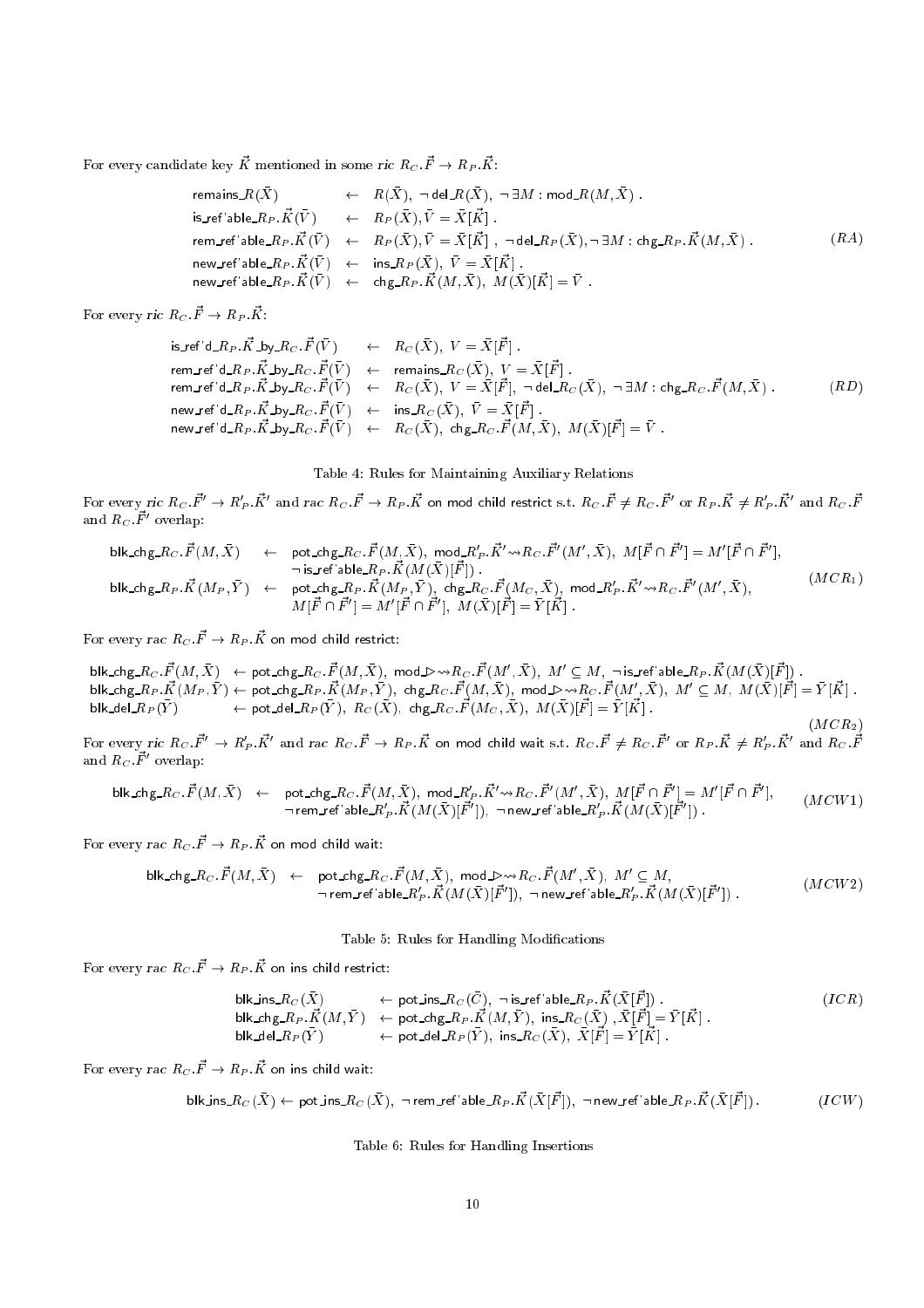For every candidate key  $\vec{K}$  mentioned in some ric  $R_C$  :  $\vec{F}\rightarrow R_P$  :  $\vec{K}$  :

$$
\begin{array}{lll} \text{remains\_}R(\bar{X}) & \leftarrow & R(\bar{X}), \; \neg \, \text{del\_}R(\bar{X}), \; \neg \, \exists M: \, \text{mod\_}R(M, \bar{X}) \; . \\[1mm] \text{is\_ref'able\_}R_P. \vec{K}(\bar{V}) & \leftarrow & R_P(\bar{X}), \bar{V} = \bar{X}[\vec{K}] \; . \\[1mm] \text{rem\_ref'able\_}R_P. \vec{K}(\bar{V}) & \leftarrow & R_P(\bar{X}), \bar{V} = \bar{X}[\vec{K}] \; , \; \neg \, \text{del\_}R_P(\bar{X}), \neg \, \exists M: \text{chg\_}R_P. \vec{K}(M, \bar{X}) \; . \\[1mm] \text{new\_ref'able\_}R_P. \vec{K}(\bar{V}) & \leftarrow & \text{ins\_}R_P(\bar{X}), \; \bar{V} = \bar{X}[\vec{K}] \; . \\[1mm] \text{new\_ref'able\_}R_P. \vec{K}(\bar{V}) & \leftarrow & \text{chg\_}R_P. \vec{K}(M, \bar{X}), \; M(\bar{X})[\vec{K}] = \bar{V} \; . \end{array} \tag{R4}
$$

For every ric  $R_C\ \vec{F}\rightarrow R_P\ \vec{K}$ :

$$
\begin{array}{lcll} \mathrm{is\_ref} \, ^{\mathbf{i}} \mathrm{d} \_R_P. \vec{K} \_b \mathrm{by\_R}_C. \vec{F}(\bar{V}) & \leftarrow & R_C(\bar{X}), \; V = \bar{X}[\vec{F}] \; . \\[1.5ex] \mathrm{rem\_ref} \, ^{\mathbf{i}} \mathrm{d} \_R_P. \vec{K} \_b \mathrm{by\_R}_C. \vec{F}(\bar{V}) & \leftarrow & \mathrm{remains\_R}_C(\bar{X}), \; V = \bar{X}[\vec{F}] \; . \\[1.5ex] \mathrm{rem\_ref} \, ^{\mathbf{i}} \mathrm{d} \_R_P. \vec{K} \_b \mathrm{by\_R}_C. \vec{F}(\bar{V}) & \leftarrow & R_C(\bar{X}), \; V = \bar{X}[\vec{F}], \; \neg \, \mathrm{del} \_R_C(\bar{X}), \; \neg \, \exists M : \mathrm{chg\_R}_C. \vec{F}(M, \bar{X}) \; . \\[1.5ex] \mathrm{new\_ref} \, ^{\mathbf{i}} \mathrm{d} \_R_P. \vec{K} \_b \mathrm{by\_R}_C. \vec{F}(\bar{V}) & \leftarrow & \mathrm{ins\_R}_C(\bar{X}), \; \bar{V} = \bar{X}[\vec{F}] \; . \\[1.5ex] \mathrm{new\_ref} \, ^{\mathbf{i}} \mathrm{d} \_R_P. \vec{K} \_b \mathrm{by\_R}_C. \vec{F}(\bar{V}) & \leftarrow & R_C(\bar{X}), \; \mathrm{chg\_R}_C. \vec{F}(M, \bar{X}), \; M(\bar{X})[\vec{F}] = \bar{V} \; . \end{array} \tag{RD}
$$

Table 4: Rules for Maintaining Auxiliary Relations

For every ric  $R_C$   $\vec{F}^{\prime}\to R^{\prime}_P$   $\vec{K}^{\prime}$  and rac  $R_C$   $\vec{F}\to R_P$   $\vec{K}$  on mod child restrict s.t.  $R_C$   $\vec{F}\neq R_C$   $\vec{F}^{\prime}$  or  $R_P$   $\vec{K}\neq R^{\prime}_P$   $\vec{K}^{\prime}$  and  $R_C$   $\vec{F}$ and  $R_C$   $\vec{F}^\prime$  overlap:

$$
\begin{array}{lcl} \mathsf{blk\_chg\_R}_{C}.\vec{F}(M,\bar{X}) & \leftarrow & \mathsf{pot\_chg\_R}_{C}.\vec{F}(M,\bar{X}),\ \mathsf{mod}\_R'_P.\vec{K}' \leadsto & \mathsf{R}_{C}.\vec{F}'(M',\bar{X}),\ M[\vec{F} \cap \vec{F}'] = M'[\vec{F} \cap \vec{F}'],\\ & & \neg \mathsf{is\_ref'able}\_R_P.\vec{K}(M(\bar{X})[\vec{F}]) \ .\\ \mathsf{blk\_chg\_R}_{P}.\vec{K}(M_{P},\bar{Y}) & \leftarrow & \mathsf{pot\_chg\_R}_{P}.\vec{K}(M_{P},\bar{Y}),\ \mathsf{chg\_R}_{C}.\vec{F}(M_{C},\bar{X}),\ \mathsf{mod}\_R'_P.\vec{K}' \leadsto & \mathsf{R}_{C}.\vec{F}'(M',\bar{X}),\\ & & M[\vec{F} \cap \vec{F}'] = M'[\vec{F} \cap \vec{F}'],\ M(\bar{X})[\vec{F}] = \bar{Y}[\vec{K}] \ . \end{array} \tag{MCR_1}
$$

For every *rac*  $R_C$  $\vec{F} \rightarrow R_P$  $\vec{K}$  on mod child restrict:

 ${\sf blk}$ \_chg\_ $R_C. \vec{F}(M, \bar{X}) \;\;\gets\;$  pot\_chg\_ $R_C. \vec{F}(M, \bar{X}),\;$  mod\_D $\leadsto$  $R_C. \vec{F}(M', \bar{X}),\;$   $M' \subseteq M, \;\; \neg$  is\_ref 'able\_ $R_P. \vec{K}(M(\bar{X})[\vec{F}])$  .  ${\sf blk\_chg\_R}_P. \vec{K}(M_P, \bar{Y}) \leftarrow {\sf pot\_chg\_R}_P. \vec{K}(M_P, \bar{Y}), ~{\sf chg\_R}_C. \vec{F}(M, \bar{X}), ~~ {\sf mod\_b} \leadsto \! R_C. \vec{F}(M', \bar{X}), ~~ M' \subseteq M, ~ M(\bar{X})[\vec{F}] = \bar{Y}[\vec{K}]~.$ blk\_del  $R_P(Y)$  $)\qquad\qquad\leftarrow {\sf pot\_del}\_R_P(\bar{Y}),\,\,R_C(\bar{X}),\,\,{\sf chg}\_R_C.\vec{F}(M_C,\bar{X}),\,\,M(\bar{X})[\vec{F}]=\bar{Y}[\vec{K}]\,\,.$  $(MCR<sub>2</sub>)$ 

For every ric  $R_C. \vec{F}^{\prime} \rightarrow R^{\prime}_P. \vec{K}^{\prime}$  and rac  $R_C. \vec{F} \rightarrow R_P. \vec{K}$  on mod child wait s.t.  $R_C. \vec{F} \neq R_C. \vec{F}^{\prime}$  or  $R_P. \vec{K} \neq R^{\prime}_P. \vec{K}^{\prime}$  and  $R_C. \vec{F}$ and  $R_C$   $\vec{F}^\prime$  overlap:

$$
\text{blk\_chg\_}R_C \cdot \vec{F}(M, \bar{X}) \leftarrow \text{pot\_chg\_}R_C \cdot \vec{F}(M, \bar{X}), \text{mod\_}R'_P \cdot \vec{K}' \rightsquigarrow R_C \cdot \vec{F}'(M', \bar{X}), M[\vec{F} \cap \vec{F}'] = M'[\vec{F} \cap \vec{F}'], \newline \text{mem\_ref'able\_}R'_P \cdot \vec{K}(M(\bar{X})[\vec{F}']). \text{ new\_ref'able\_}R'_P \cdot \vec{K}(M(\bar{X})[\vec{F}'])
$$

For every *rac*  $R_C.\vec{F}\rightarrow R_P.\vec{K}$  *on mod child wait:* 

$$
\text{blk\_chg\_R}_C.\vec{F}(M,\bar{X}) \leftarrow \text{pot\_chg\_R}_C.\vec{F}(M,\bar{X}), \text{mod\_D} \rightarrow R_C.\vec{F}(M',\bar{X}), M' \subseteq M, \\ \text{rem\_ref'able\_R'_P}.\vec{K}(M(\bar{X})[\vec{F}']) \text{, } \neg \text{ new\_ref'able\_R'_P}.\vec{K}(M(\bar{X})[\vec{F}']) \text{.}
$$
\n
$$
(MCW2)
$$

Table 5: Rules for Handling Modications

For every *rac*  $R_C$  $\vec{F} \rightarrow R_P$  $\vec{K}$  *on ins child restrict:* 

$$
\begin{array}{lll}\n\text{blk_ins}\_R_C(\bar{X}) & \leftarrow \text{pot}\_n\_R_C(\bar{C}), \ \neg \text{ is\_ref} \text{ 'able}\_R_P.\vec{K}(\bar{X}[\vec{F}])\n\end{array}.
$$
\n
$$
\begin{array}{lll}\n\text{blk\_chg}\_R_P.\vec{K}(M,\bar{Y}) & \leftarrow \text{ pot}\_c\_R_P.\vec{K}(M,\bar{Y}), \ \text{ins}\_R_C(\bar{X}), \ \bar{X}[\vec{F}] = \bar{Y}[\vec{K}]\n\end{array}.
$$
\n
$$
\begin{array}{lll}\n\text{blk\_del}\_R_P(\bar{Y}) & \leftarrow \text{pot}\_c\_R_P(\bar{Y}), \ \text{ins}\_R_C(\bar{X}), \ \bar{X}[\vec{F}] = \bar{Y}[\vec{K}]\n\end{array}.
$$
\n
$$
(ICR)
$$

For every *rac*  $R_C$  $\vec{F} \rightarrow R_P$  *.* $\vec{K}$  *on ins* child wait:

$$
\text{blk\_ins}\_R_C(\bar{X})\leftarrow \text{pot}\_ \text{ins}\_R_C(\bar{X}),\ \neg\ \text{rem}\_ \text{ref}'\text{able}\_R_P.\vec{K}(\bar{X}[\vec{F}]),\ \neg\ \text{new}\_ \text{ref}'\text{able}\_R_P.\vec{K}(\bar{X}[\vec{F}])\,. \tag{ICW}
$$

Table 6: Rules for Handling Insertions